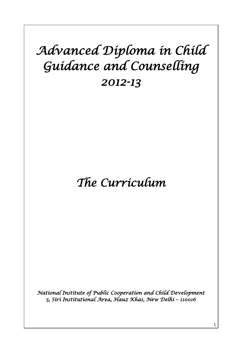# *Advanced Diploma in Child Guidance and Counselling 2012-13*

# *The Curriculum*

*National Institute of Public Cooperation and Child Development 5, Siri Institutional Area, Hauz Khas, New Delhi – 110016* 

1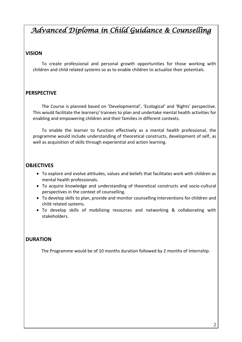## *Advanced Diploma in Child Guidance & Counselling*

#### **VISION**

 To create professional and personal growth opportunities for those working with children and child related systems so as to enable children to actualize their potentials.

#### **PERSPECTIVE**

 The Course is planned based on 'Developmental', 'Ecological' and 'Rights' perspective. This would facilitate the learners/ trainees to plan and undertake mental health activities for enabling and empowering children and their families in different contexts.

 To enable the learner to function effectively as a mental health professional, the programme would include understanding of theoretical constructs, development of self, as well as acquisition of skills through experiential and action learning.

#### **OBJECTIVES**

- To explore and evolve attitudes, values and beliefs that facilitates work with children as mental health professionals.
- To acquire knowledge and understanding of theoretical constructs and socio-cultural perspectives in the context of counselling.
- To develop skills to plan, provide and monitor counselling interventions for children and child related systems.
- To develop skills of mobilizing resources and networking & collaborating with stakeholders.

#### **DURATION**

The Programme would be of 10 months duration followed by 2 months of Internship.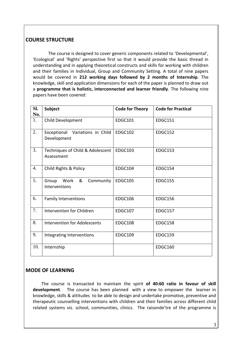#### **COURSE STRUCTURE**

 The course is designed to cover generic components related to 'Developmental', 'Ecological' and 'Rights' perspective first so that it would provide the basic thread in understanding and in applying theoretical constructs and skills for working with children and their families in Individual, Group and Community Setting. A total of nine papers would be covered in **212 working days followed by 2 months of Internship**. The knowledge, skill and application dimensions for each of the paper is planned to draw out a **programme that is holistic, interconnected and learner friendly**. The following nine papers have been covered:

| SI.<br>No. | <b>Subject</b>                                    | <b>Code for Theory</b> | <b>Code for Practical</b> |
|------------|---------------------------------------------------|------------------------|---------------------------|
| 1.         | Child Development                                 | <b>EDGC101</b>         | <b>EDGC151</b>            |
| 2.         | Exceptional<br>Variations in Child<br>Development | <b>EDGC102</b>         | <b>EDGC152</b>            |
| 3.         | Techniques of Child & Adolescent<br>Assessment    | <b>EDGC103</b>         | <b>EDGC153</b>            |
| 4.         | Child Rights & Policy                             | <b>EDGC104</b>         | <b>EDGC154</b>            |
| 5.         | &<br>Community<br>Work<br>Group<br>Interventions  | <b>EDGC105</b>         | <b>EDGC155</b>            |
| 6.         | <b>Family Interventions</b>                       | <b>EDGC106</b>         | <b>EDGC156</b>            |
| 7.         | Intervention for Children                         | <b>EDGC107</b>         | <b>EDGC157</b>            |
| 8.         | <b>Intervention for Adolescents</b>               | <b>EDGC108</b>         | <b>EDGC158</b>            |
| 9.         | Integrating Interventions                         | <b>EDGC109</b>         | <b>EDGC159</b>            |
| 10.        | Internship                                        |                        | <b>EDGC160</b>            |

#### **MODE OF LEARNING**

The course is transacted to maintain the spirit **of 40:60 ratio in favour of skill development**. The course has been planned with a view to empower the learner in knowledge, skills & attitudes to be able to design and undertake promotive, preventive and therapeutic counselling interventions with children and their families across different child related systems viz. school, communities, clinics. The raisonde'tre of the programme is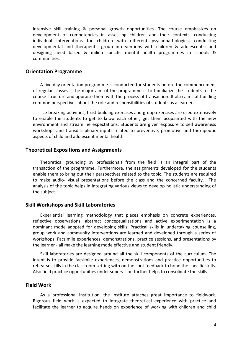intensive skill training & personal growth opportunities. The course emphasizes on development of competencies in assessing children and their contexts, conducting individual interventions for children with different psychopathologies, conducting developmental and therapeutic group interventions with children & adolescents; and designing need based & milieu specific mental health programmes in schools & communities.

#### **Orientation Programme**

A five day orientation programme is conducted for students before the commencement of regular classes. The major aim of the programme is to familiarize the students to the course structure and appraise them with the process of transaction. It also aims at building common perspectives about the role and responsibilities of students as a learner.

Ice breaking activities, trust building exercises and group exercises are used extensively to enable the students to get to know each other, get them acquainted with the new environment and streamline expectations. Students are given exposure to self awareness workshops and transdisciplinary inputs related to preventive, promotive and therapeutic aspects of child and adolescent mental health.

#### **Theoretical Expositions and Assignments**

Theoretical grounding by professionals from the field is an integral part of the transaction of the programme. Furthermore, the assignments developed for the students enable them to bring out their perspectives related to the topic. The students are required to make audio- visual presentations before the class and the concerned faculty. The analysis of the topic helps in integrating various views to develop holistic understanding of the subject.

#### **Skill Workshops and Skill Laboratories**

Experiential learning methodology that places emphasis on concrete experiences, reflective observations, abstract conceptualizations and active experimentation is a dominant mode adopted for developing skills. Practical skills in undertaking counselling, group work and community interventions are learned and developed through a series of workshops. Facsimile experiences, demonstrations, practice sessions, and presentations by the learner - all make the learning mode effective and student friendly.

Skill laboratories are designed around all the skill components of the curriculum. The intent is to provide facsimile experiences, demonstrations and practice opportunities to rehearse skills in the classroom setting with on the spot feedback to hone the specific skills. Also field practice opportunities under supervision further helps to consolidate the skills.

#### **Field Work**

As a professional institution, the Institute attaches great importance to fieldwork. Rigorous field work is expected to integrate theoretical experience with practice and facilitate the learner to acquire hands on experience of working with children and child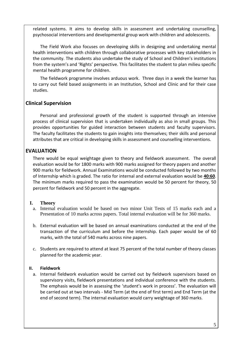related systems. It aims to develop skills in assessment and undertaking counselling, psychosocial interventions and developmental group work with children and adolescents.

The Field Work also focuses on developing skills in designing and undertaking mental health interventions with children through collaborative processes with key stakeholders in the community. The students also undertake the study of School and Children's institutions from the system's and 'Rights' perspective. This facilitates the student to plan milieu specific mental health programme for children.

The fieldwork programme involves arduous work. Three days in a week the learner has to carry out field based assignments in an Institution, School and Clinic and for their case studies.

#### **Clinical Supervision**

Personal and professional growth of the student is supported through an intensive process of clinical supervision that is undertaken individually as also in small groups. This provides opportunities for guided interaction between students and faculty supervisors. The faculty facilitates the students to gain insights into themselves; their skills and personal attributes that are critical in developing skills in assessment and counselling interventions.

#### **EVALUATION**

There would be equal weightage given to theory and fieldwork assessment. The overall evaluation would be for 1800 marks with 900 marks assigned for theory papers and another 900 marks for fieldwork. Annual Examinations would be conducted followed by two months of Internship which is graded. The ratio for internal and external evaluation would be **40:60**. The minimum marks required to pass the examination would be 50 percent for theory, 50 percent for fieldwork and 50 percent in the aggregate.

#### **I. Theory**

- a. Internal evaluation would be based on two minor Unit Tests of 15 marks each and a Presentation of 10 marks across papers. Total internal evaluation will be for 360 marks.
- b. External evaluation will be based on annual examinations conducted at the end of the transaction of the curriculum and before the internship. Each paper would be of 60 marks, with the total of 540 marks across nine papers.
- c. Students are required to attend at least 75 percent of the total number of theory classes planned for the academic year.

#### **II. Fieldwork**

a. Internal fieldwork evaluation would be carried out by fieldwork supervisors based on supervisory visits, fieldwork presentations and individual conference with the students. The emphasis would be in assessing the 'student's work in process'. The evaluation will be carried out at two intervals - Mid Term (at the end of first term) and End Term (at the end of second term). The internal evaluation would carry weightage of 360 marks.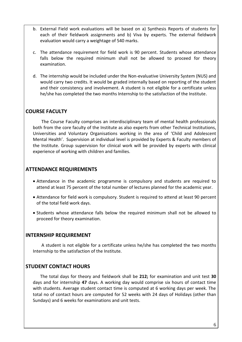- b. External Field work evaluations will be based on a) Synthesis Reports of students for each of their fieldwork assignments and b) Viva by experts. The external fieldwork evaluation would carry a weightage of 540 marks.
- c. The attendance requirement for field work is 90 percent. Students whose attendance falls below the required minimum shall not be allowed to proceed for theory examination.
- d. The internship would be included under the Non-evaluative University System (NUS) and would carry two credits. It would be graded internally based on reporting of the student and their consistency and involvement. A student is not eligible for a certificate unless he/she has completed the two months Internship to the satisfaction of the Institute.

#### **COURSE FACULTY**

 The Course Faculty comprises an interdisciplinary team of mental health professionals both from the core faculty of the Institute as also experts from other Technical Institutions, Universities and Voluntary Organisations working in the area of 'Child and Adolescent Mental Health'. Supervision at individual level is provided by Experts & Faculty members of the Institute. Group supervision for clinical work will be provided by experts with clinical experience of working with children and families.

#### **ATTENDANCE REQUIREMENTS**

- Attendance in the academic programme is compulsory and students are required to attend at least 75 percent of the total number of lectures planned for the academic year.
- Attendance for field work is compulsory. Student is required to attend at least 90 percent of the total field work days.
- Students whose attendance falls below the required minimum shall not be allowed to proceed for theory examination.

#### **INTERNSHIP REQUIREMENT**

A student is not eligible for a certificate unless he/she has completed the two months Internship to the satisfaction of the Institute.

#### **STUDENT CONTACT HOURS**

The total days for theory and fieldwork shall be **212;** for examination and unit test **30** days and for internship **47** days. A working day would comprise six hours of contact time with students. Average student contact time is computed at 6 working days per week. The total no of contact hours are computed for 52 weeks with 24 days of Holidays (other than Sundays) and 6 weeks for examinations and unit tests.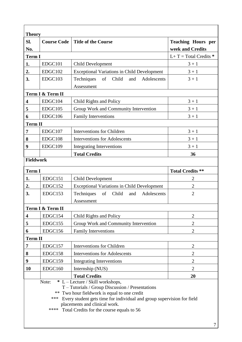| Sl.<br>No.                                                                                                                                                                                                                                                                                                              | <b>Course Code</b> | <b>Title of the Course</b>                                    | <b>Teaching Hours per</b><br>week and Credits |  |
|-------------------------------------------------------------------------------------------------------------------------------------------------------------------------------------------------------------------------------------------------------------------------------------------------------------------------|--------------------|---------------------------------------------------------------|-----------------------------------------------|--|
| <b>Term I</b>                                                                                                                                                                                                                                                                                                           |                    |                                                               | $L+T = Total Credits$                         |  |
| 1.                                                                                                                                                                                                                                                                                                                      | EDGC101            | <b>Child Development</b>                                      | $3 + 1$                                       |  |
| 2.                                                                                                                                                                                                                                                                                                                      | EDGC102            | <b>Exceptional Variations in Child Development</b>            | $3 + 1$                                       |  |
| 3.                                                                                                                                                                                                                                                                                                                      | EDGC103            | Techniques<br>Child<br>Adolescents<br>of<br>and<br>Assessment | $3 + 1$                                       |  |
|                                                                                                                                                                                                                                                                                                                         | Term I & Term II   |                                                               |                                               |  |
| 4                                                                                                                                                                                                                                                                                                                       | EDGC104            | Child Rights and Policy                                       | $3 + 1$                                       |  |
| 5                                                                                                                                                                                                                                                                                                                       | EDGC105            | Group Work and Community Intervention                         | $3 + 1$                                       |  |
| 6                                                                                                                                                                                                                                                                                                                       | EDGC106            | <b>Family Interventions</b>                                   | $3 + 1$                                       |  |
| <b>Term II</b>                                                                                                                                                                                                                                                                                                          |                    |                                                               |                                               |  |
| $\overline{7}$                                                                                                                                                                                                                                                                                                          | EDGC107            | <b>Interventions for Children</b>                             | $3 + 1$                                       |  |
| 8                                                                                                                                                                                                                                                                                                                       | EDGC108            | <b>Interventions for Adolescents</b>                          | $3 + 1$                                       |  |
| 9                                                                                                                                                                                                                                                                                                                       | EDGC109            | <b>Integrating Interventions</b>                              | $3 + 1$                                       |  |
|                                                                                                                                                                                                                                                                                                                         |                    | <b>Total Credits</b>                                          | 36                                            |  |
| <b>Fieldwork</b>                                                                                                                                                                                                                                                                                                        |                    |                                                               |                                               |  |
| <b>Term I</b>                                                                                                                                                                                                                                                                                                           |                    |                                                               | <b>Total Credits **</b>                       |  |
| 1.                                                                                                                                                                                                                                                                                                                      | EDGC151            | <b>Child Development</b>                                      | $\overline{2}$                                |  |
| 2.                                                                                                                                                                                                                                                                                                                      | EDGC152            | <b>Exceptional Variations in Child Development</b>            | $\overline{2}$                                |  |
| 3.                                                                                                                                                                                                                                                                                                                      | EDGC153            | Techniques<br>of<br>Child<br>and<br>Adolescents               | $\overline{2}$                                |  |
|                                                                                                                                                                                                                                                                                                                         |                    | Assessment                                                    |                                               |  |
|                                                                                                                                                                                                                                                                                                                         | Term I & Term II   |                                                               |                                               |  |
| 4                                                                                                                                                                                                                                                                                                                       | EDGC154            | Child Rights and Policy                                       | $\overline{2}$                                |  |
| 5                                                                                                                                                                                                                                                                                                                       | EDGC155            | Group Work and Community Intervention                         | $\overline{2}$                                |  |
| 6                                                                                                                                                                                                                                                                                                                       | EDGC156            | <b>Family Interventions</b>                                   | $\overline{2}$                                |  |
| <b>Term II</b>                                                                                                                                                                                                                                                                                                          |                    |                                                               |                                               |  |
| 7                                                                                                                                                                                                                                                                                                                       | EDGC157            | <b>Interventions for Children</b>                             | $\overline{2}$                                |  |
| 8                                                                                                                                                                                                                                                                                                                       | EDGC158            | <b>Interventions for Adolescents</b>                          | $\overline{2}$                                |  |
| 9                                                                                                                                                                                                                                                                                                                       | EDGC159            | <b>Integrating Interventions</b>                              | $\overline{c}$                                |  |
| 10                                                                                                                                                                                                                                                                                                                      | EDGC160            | Internship (NUS)                                              | 2                                             |  |
|                                                                                                                                                                                                                                                                                                                         |                    | <b>Total Credits</b>                                          | 20                                            |  |
| * L – Lecture / Skill workshops,<br>Note:<br>T - Tutorials / Group Discussion / Presentations<br>Two hour fieldwork is equal to one credit<br>$***$<br>*** Every student gets time for individual and group supervision for field<br>placements and clinical work.<br>****<br>Total Credits for the course equals to 56 |                    |                                                               |                                               |  |

 $\overline{\mathbf{1}}$ 

 $\mathbb{F}$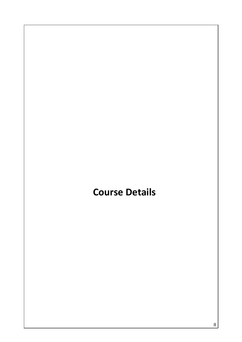## **Course Details**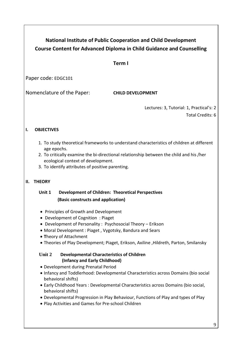## **National Institute of Public Cooperation and Child Development Course Content for Advanced Diploma in Child Guidance and Counselling**

#### **Term I**

Paper code: EDGC101

Nomenclature of the Paper: **CHILD DEVELOPMENT**

Lectures: 3, Tutorial: 1, Practical's: 2 Total Credits: 6

#### **I. OBJECTIVES**

- 1. To study theoretical frameworks to understand characteristics of children at different age epochs.
- 2. To critically examine the bi-directional relationship between the child and his /her ecological context of development.
- 3. To identify attributes of positive parenting.

#### **II.****THEORY**

#### **Unit 1 Development of Children: Theoretical Perspectives (Basic constructs and application)**

- Principles of Growth and Development
- Development of Cognition : Piaget
- Development of Personality : Psychosocial Theory Erikson
- Moral Development : Piaget , Vygotsky, Bandura and Sears
- **T**heory of Attachment
- Theories of Play Development; Piaget, Erikson, Axiline ,Hildreth, Parton, Smilansky

#### **Unit 2 Developmental Characteristics of Children (Infancy and Early Childhood)**

- Development during Prenatal Period
- Infancy and Toddlerhood: Developmental Characteristics across Domains (bio social behavioral shifts)
- Early Childhood Years : Developmental Characteristics across Domains (bio social, behavioral shifts)
- Developmental Progression in Play Behaviour, Functions of Play and types of Play
- Play Activities and Games for Pre-school Children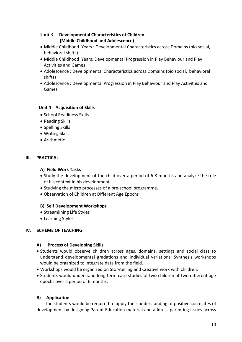#### **Unit 3 Developmental Characteristics of Children (Middle Childhood and Adolescence)**

- Middle Childhood Years : Developmental Characteristics across Domains (bio social, behavioral shifts)
- Middle Childhood Years: Developmental Progression in Play Behaviour and Play Activities and Games
- Adolescence : Developmental Characteristics across Domains (bio social, behavioral shifts)
- Adolescence : Developmental Progression in Play Behaviour and Play Activities and Games

#### **Unit 4 Acquisition of Skills**

- School Readiness Skills
- Reading Skills
- Spelling Skills
- Writing Skills
- Arithmetic

#### **III. PRACTICAL**

#### **A) Field Work Tasks**

- Study the development of the child over a period of 6-8 months and analyze the role of his context in his development.
- Studying the micro processes of a pre-school programme.
- Observation of Children at Different Age Epochs

#### **B) Self Development Workshops**

- Streamlining Life Styles
- Learning Styles

#### **IV. SCHEME OF TEACHING**

#### **A) Process of Developing Skills**

- Students would observe children across ages, domains, settings and social class to understand developmental gradations and individual variations. Synthesis workshops would be organized to integrate data from the field.
- Workshops would be organized on Storytelling and Creative work with children.
- Students would understand long term case studies of two children at two different age epochs over a period of 6 months.

#### **B) Application**

 The students would be required to apply their understanding of positive correlates of development by designing Parent Education material and address parenting issues across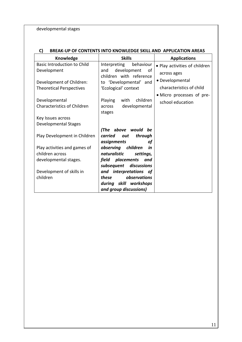developmental stages

#### **C) BREAK-UP OF CONTENTS INTO KNOWLEDGE SKILL AND APPLICATION AREAS**

| Knowledge                          | <b>Skills</b>               | <b>Applications</b>           |
|------------------------------------|-----------------------------|-------------------------------|
| <b>Basic Introduction to Child</b> | Interpreting<br>behaviour   | • Play activities of children |
| Development                        | development<br>and<br>of    | across ages                   |
|                                    | children with reference     |                               |
| Development of Children:           | to 'Developmental' and      | • Developmental               |
| <b>Theoretical Perspectives</b>    | 'Ecological' context        | characteristics of child      |
|                                    |                             | • Micro processes of pre-     |
| Developmental                      | Playing<br>children<br>with | school education              |
| <b>Characteristics of Children</b> | developmental<br>across     |                               |
|                                    | stages                      |                               |
| Key Issues across                  |                             |                               |
| Developmental Stages               |                             |                               |
|                                    | (The above would<br>be      |                               |
| Play Development in Children       | through<br>carried<br>out   |                               |
|                                    | assignments<br>οf           |                               |
| Play activities and games of       | observing children<br>in    |                               |
| children across                    | naturalistic<br>settings,   |                               |
| developmental stages.              | field placements<br>and     |                               |
|                                    | discussions<br>subsequent   |                               |
| Development of skills in           | and interpretations of      |                               |
| children                           | observations<br>these       |                               |
|                                    | during skill workshops      |                               |
|                                    | and group discussions)      |                               |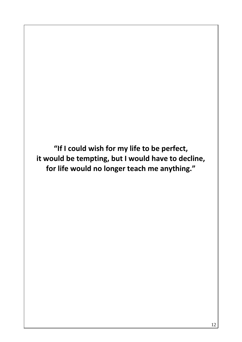**"If I could wish for my life to be perfect, it would be tempting, but I would have to decline, for life would no longer teach me anything."**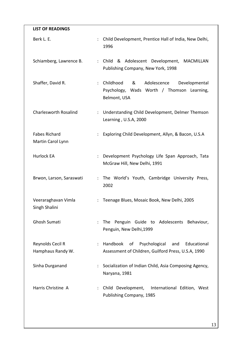| <b>LIST OF READINGS</b>                   |                                                                                                                                      |
|-------------------------------------------|--------------------------------------------------------------------------------------------------------------------------------------|
| Berk L. E.                                | Child Development, Prentice Hall of India, New Delhi,<br>$\ddot{\phantom{a}}$<br>1996                                                |
| Schiamberg, Lawrence B.                   | : Child & Adolescent Development, MACMILLAN<br>Publishing Company, New York, 1998                                                    |
| Shaffer, David R.                         | Childhood<br>&<br>Adolescence<br>Developmental<br>$\ddot{\phantom{a}}$<br>Psychology, Wads Worth / Thomson Learning,<br>Belmont, USA |
| <b>Charlesworth Rosalind</b>              | : Understanding Child Development, Delmer Themson<br>Learning, U.S.A, 2000                                                           |
| <b>Fabes Richard</b><br>Martin Carol Lynn | Exploring Child Development, Allyn, & Bacon, U.S.A<br>$\mathbb{Z}^{\mathbb{Z}}$                                                      |
| <b>Hurlock EA</b>                         | Development Psychology Life Span Approach, Tata<br>$\ddot{\phantom{a}}$<br>McGraw Hill, New Delhi, 1991                              |
| Brwon, Larson, Saraswati                  | : The World's Youth, Cambridge University Press,<br>2002                                                                             |
| Veeraraghavan Vimla<br>Singh Shalini      | Teenage Blues, Mosaic Book, New Delhi, 2005                                                                                          |
| <b>Ghosh Sumati</b>                       | Penguin Guide to Adolescents Behaviour,<br>The<br>$\ddot{\phantom{a}}$<br>Penguin, New Delhi, 1999                                   |
| Reynolds Cecil R<br>Hamphaus Randy W.     | Handbook of<br>Psychological<br>Educational<br>and<br>÷<br>Assessment of Children, Guilford Press, U.S.A, 1990                       |
| Sinha Durganand                           | Socialization of Indian Child, Asia Composing Agency,<br>Naryana, 1981                                                               |
| Harris Christine A                        | Child Development, International Edition, West<br>Publishing Company, 1985                                                           |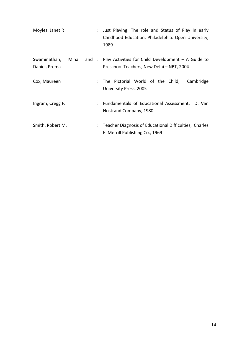| Just Playing: The role and Status of Play in early<br>Childhood Education, Philadelphia: Open University,<br>1989 |
|-------------------------------------------------------------------------------------------------------------------|
| and : Play Activities for Child Development $-$ A Guide to                                                        |
| Preschool Teachers, New Delhi - NBT, 2004                                                                         |
| : The Pictorial World of the Child,<br>Cambridge                                                                  |
| University Press, 2005                                                                                            |
| Fundamentals of Educational Assessment, D. Van<br>÷<br>Nostrand Company, 1980                                     |
|                                                                                                                   |
| Teacher Diagnosis of Educational Difficulties, Charles<br>E. Merrill Publishing Co., 1969                         |
|                                                                                                                   |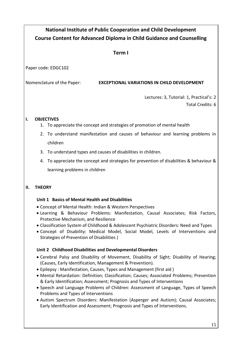## **National Institute of Public Cooperation and Child Development Course Content for Advanced Diploma in Child Guidance and Counselling**

#### **Term I**

Paper code: EDGC102

Nomenclature of the Paper: **EXCEPTIONAL VARIATIONS IN CHILD DEVELOPMENT** 

Lectures: 3, Tutorial: 1, Practical's: 2

#### Total Credits: 6

#### **I. OBJECTIVES**

- 1. To appreciate the concept and strategies of promotion of mental health
- 2. To understand manifestation and causes of behaviour and learning problems in children
- 3. To understand types and causes of disabilities in children.
- 4. To appreciate the concept and strategies for prevention of disabilities & behaviour & learning problems in children

#### **II. THEORY**

#### **Unit 1 Basics of Mental Health and Disabilities**

- Concept of Mental Health: Indian & Western Perspectives
- Learning & Behaviour Problems: Manifestation, Causal Associates; Risk Factors, Protective Mechanism, and Resilience
- Classification System of Childhood & Adolescent Psychiatric Disorders: Need and Types
- Concept of Disability: Medical Model, Social Model, Levels of Interventions and Strategies of Prevention of Disabilities )

#### **Unit 2 Childhood Disabilities and Developmental Disorders**

- Cerebral Palsy and Disability of Movement, Disability of Sight; Disability of Hearing; (Causes, Early Identification, Management & Prevention).
- Epilepsy : Manifestation, Causes, Types and Management (first aid )
- Mental Retardation: Definition; Classification; Causes; Associated Problems; Prevention & Early Identification; Assessment; Prognosis and Types of Interventions
- Speech and Language Problems of Children: Assessment of Language, Types of Speech Problems and Types of Interventions
- Autism Spectrum Disorders: Manifestation (Asperger and Autism); Causal Associates; Early Identification and Assessment; Prognosis and Types of Interventions.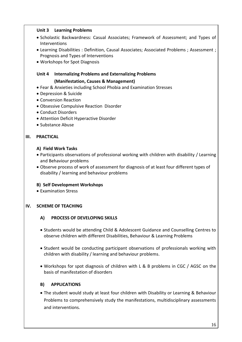#### **Unit 3 Learning Problems**

- Scholastic Backwardness: Casual Associates; Framework of Assessment; and Types of Interventions
- Learning Disabilities : Definition, Causal Associates; Associated Problems ; Assessment ; Prognosis and Types of Interventions
- Workshops for Spot Diagnosis

#### **Unit 4 Internalizing Problems and Externalizing Problems (Manifestation, Causes & Management)**

- Fear & Anxieties including School Phobia and Examination Stresses
- Depression & Suicide
- Conversion Reaction
- Obsessive Compulsive Reaction Disorder
- Conduct Disorders
- Attention Deficit Hyperactive Disorder
- Substance Abuse

#### **III. PRACTICAL**

#### **A) Field Work Tasks**

- Participants observations of professional working with children with disability / Learning and Behaviour problems
- Observe process of work of assessment for diagnosis of at least four different types of disability / learning and behaviour problems

#### **B) Self Development Workshops**

• Examination Stress

#### **IV. SCHEME OF TEACHING**

#### **A) PROCESS OF DEVELOPING SKILLS**

- Students would be attending Child & Adolescent Guidance and Counselling Centres to observe children with different Disabilities, Behaviour & Learning Problems
- Student would be conducting participant observations of professionals working with children with disability / learning and behaviour problems.
- Workshops for spot diagnosis of children with L & B problems in CGC / AGSC on the basis of manifestation of disorders

#### **B) APPLICATIONS**

 The student would study at least four children with Disability or Learning & Behaviour Problems to comprehensively study the manifestations, multidisciplinary assessments and interventions.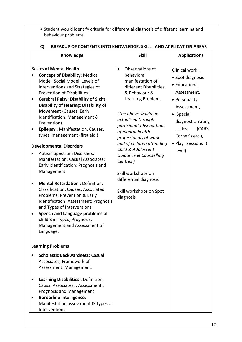Student would identify criteria for differential diagnosis of different learning and behaviour problems.

| Knowledge                                                                                                                                                                                                                                                                                                                                                                                                                                                                                                                                                                                                                                                                                                                                                                                                                                                                                                                                                                             | <b>Skill</b>                                                                                                                                                                                                                                                                                                                                                                                                                                            | <b>Applications</b>                                                                                                                                                                                          |  |
|---------------------------------------------------------------------------------------------------------------------------------------------------------------------------------------------------------------------------------------------------------------------------------------------------------------------------------------------------------------------------------------------------------------------------------------------------------------------------------------------------------------------------------------------------------------------------------------------------------------------------------------------------------------------------------------------------------------------------------------------------------------------------------------------------------------------------------------------------------------------------------------------------------------------------------------------------------------------------------------|---------------------------------------------------------------------------------------------------------------------------------------------------------------------------------------------------------------------------------------------------------------------------------------------------------------------------------------------------------------------------------------------------------------------------------------------------------|--------------------------------------------------------------------------------------------------------------------------------------------------------------------------------------------------------------|--|
| <b>Basics of Mental Health</b><br><b>Concept of Disability: Medical</b><br>$\bullet$<br>Model, Social Model, Levels of<br>Interventions and Strategies of<br>Prevention of Disabilities)<br><b>Cerebral Palsy; Disability of Sight;</b><br>$\bullet$<br><b>Disability of Hearing; Disability of</b><br><b>Movement (Causes, Early</b><br>Identification, Management &<br>Prevention).<br>Epilepsy: Manifestation, Causes,<br>$\bullet$<br>types management (first aid)<br><b>Developmental Disorders</b><br><b>Autism Spectrum Disorders:</b><br>$\bullet$<br>Manifestation; Casual Associates;<br>Early Identification; Prognosis and<br>Management.<br><b>Mental Retardation: Definition;</b><br>$\bullet$<br>Classification; Causes; Associated<br>Problems; Prevention & Early<br>Identification; Assessment; Prognosis<br>and Types of Interventions<br>Speech and Language problems of<br>$\bullet$<br>children: Types; Prognosis;<br>Management and Assessment of<br>Language. | Observations of<br>$\bullet$<br>behavioral<br>manifestation of<br>different Disabilities<br>& Behaviour &<br><b>Learning Problems</b><br>(The above would be<br>actualized through<br>participant observations<br>of mental health<br>professionals at work<br>and of children attending<br>Child & Adolescent<br><b>Guidance &amp; Counselling</b><br>Centres)<br>Skill workshops on<br>differential diagnosis<br>Skill workshops on Spot<br>diagnosis | Clinical work:<br>• Spot diagnosis<br>• Educational<br>Assessment,<br>• Personality<br>Assessment,<br>• Special<br>diagnostic rating<br>scales<br>(CARS,<br>Corner's etc.),<br>· Play sessions (II<br>level) |  |
| <b>Learning Problems</b><br><b>Scholastic Backwardness: Casual</b><br>Associates; Framework of<br>Assessment; Management.<br>Learning Disabilities : Definition,<br>$\bullet$<br>Causal Associates; ; Assessment ;<br><b>Prognosis and Management</b><br><b>Borderline Intelligence:</b><br>Manifestation assessment & Types of<br>Interventions                                                                                                                                                                                                                                                                                                                                                                                                                                                                                                                                                                                                                                      |                                                                                                                                                                                                                                                                                                                                                                                                                                                         |                                                                                                                                                                                                              |  |

#### **C) BREAKUP OF CONTENTS INTO KNOWLEDGE, SKILL AND APPLICATION AREAS**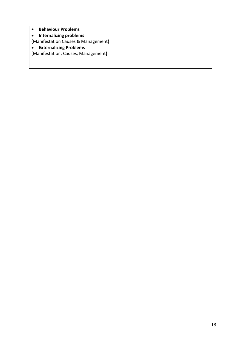| <b>Behaviour Problems</b>           |  |
|-------------------------------------|--|
| <b>Internalizing problems</b>       |  |
| (Manifestation Causes & Management) |  |
| <b>Externalizing Problems</b>       |  |
| (Manifestation, Causes, Management) |  |
|                                     |  |
|                                     |  |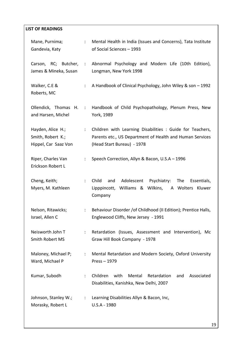| <b>LIST OF READINGS</b>                                        |                           |                                                                                                                                                     |
|----------------------------------------------------------------|---------------------------|-----------------------------------------------------------------------------------------------------------------------------------------------------|
| Mane, Purnima;<br>Gandevia, Katy                               | $\mathbb{Z}^{\mathbb{Z}}$ | Mental Health in India (Issues and Concerns), Tata Institute<br>of Social Sciences - 1993                                                           |
| RC; Butcher,<br>Carson,<br>James & Mineka, Susan               | $\sim$ 100 $\pm$          | Abnormal Psychology and Modern Life (10th Edition),<br>Longman, New York 1998                                                                       |
| Walker, C.E &<br>Roberts, MC                                   | ÷                         | A Handbook of Clinical Psychology, John Wiley & son - 1992                                                                                          |
| Ollendick, Thomas H. :<br>and Harsen, Michel                   |                           | Handbook of Child Psychopathology, Plenum Press, New<br>York, 1989                                                                                  |
| Hayden, Alice H.;<br>Smith, Robert K.;<br>Hippel, Car Saaz Von | $\mathbb{Z}^{\mathbb{Z}}$ | Children with Learning Disabilities : Guide for Teachers,<br>Parents etc., US Department of Health and Human Services<br>(Head Start Bureau) - 1978 |
| Riper, Charles Van<br>Erickson Robert L                        | ÷                         | Speech Correction, Allyn & Bacon, U.S.A - 1996                                                                                                      |
| Cheng, Keith;<br>Myers, M. Kathleen                            | ÷                         | Child<br>Adolescent<br>Psychiatry:<br>The<br>Essentials,<br>and<br>Lipppincott, Williams & Wilkins,<br>A Wolters Kluwer<br>Company                  |
| Nelson, Ritawicks;<br>Israel, Allen C                          | $\mathbb{Z}^{\mathbb{Z}}$ | Behaviour Disorder / of Childhood (II Edition); Prentice Halls,<br>Englewood Cliffs, New Jersey - 1991                                              |
| Neisworth John T<br><b>Smith Robert MS</b>                     | ÷                         | Retardation (Issues, Assessment and Intervention), Mc<br>Graw Hill Book Company - 1978                                                              |
| Maloney, Michael P;<br>Ward, Michael P                         | ÷                         | Mental Retardation and Modern Society, Oxford University<br>Press-1979                                                                              |
| Kumar, Subodh                                                  | ÷                         | Children<br>with<br>Mental<br>Retardation<br>Associated<br>and<br>Disabilities, Kanishka, New Delhi, 2007                                           |
| Johnson, Stanley W.;<br>Morasky, Robert L                      | $\mathbb{Z}^n$            | Learning Disabilities Allyn & Bacon, Inc,<br>U.S.A - 1980                                                                                           |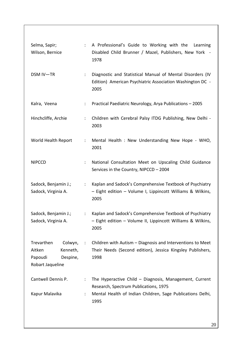| Selma, Sapir;<br>Wilson, Bernice                                                       |                      | : A Professional's Guide to Working with the Learning<br>Disabled Child Brunner / Mazel, Publishers, New York -<br>1978                                      |
|----------------------------------------------------------------------------------------|----------------------|--------------------------------------------------------------------------------------------------------------------------------------------------------------|
| DSM IV-TR                                                                              | $\ddot{\phantom{a}}$ | Diagnostic and Statistical Manual of Mental Disorders (IV<br>Edition) American Psychiatric Association Washington DC -<br>2005                               |
| Kalra, Veena                                                                           | ÷.                   | Practical Paediatric Neurology, Arya Publications - 2005                                                                                                     |
| Hinchcliffe, Archie                                                                    | $\ddot{\phantom{a}}$ | Children with Cerebral Palsy ITDG Publishing, New Delhi -<br>2003                                                                                            |
| World Health Report                                                                    | $\ddot{\phantom{a}}$ | Mental Health : New Understanding New Hope - WHO,<br>2001                                                                                                    |
| <b>NIPCCD</b>                                                                          |                      | National Consultation Meet on Upscaling Child Guidance<br>Services in the Country, NIPCCD - 2004                                                             |
| Sadock, Benjamin J.;<br>Sadock, Virginia A.                                            |                      | Kaplan and Sadock's Comprehensive Textbook of Psychiatry<br>$\mathcal{L}^{\text{max}}$<br>- Eight edition - Volume I, Lippincott Williams & Wilkins,<br>2005 |
| Sadock, Benjamin J.;<br>Sadock, Virginia A.                                            |                      | Kaplan and Sadock's Comprehensive Textbook of Psychiatry<br>- Eight edition - Volume II, Lippincott Williams & Wilkins,<br>2005                              |
| Trevarthen<br>Colwyn,<br>Aitken<br>Kenneth,<br>Papoudi<br>Despine,<br>Robart Jaqueline | ÷                    | Children with Autism - Diagnosis and Interventions to Meet<br>Their Needs (Second edition), Jessica Kingsley Publishers,<br>1998                             |
| Cantwell Dennis P.                                                                     |                      | The Hyperactive Child - Diagnosis, Management, Current<br>Research, Spectrum Publications, 1975                                                              |
| Kapur Malavika                                                                         |                      | Mental Health of Indian Children, Sage Publications Delhi,<br>1995                                                                                           |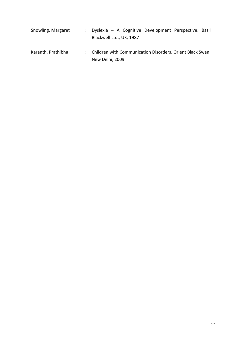| Snowling, Margaret | Dyslexia - A Cognitive Development Perspective, Basil<br>Blackwell Ltd., UK, 1987 |
|--------------------|-----------------------------------------------------------------------------------|
| Karanth, Prathibha | : Children with Communication Disorders, Orient Black Swan,<br>New Delhi, 2009    |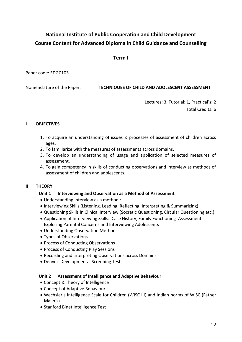## **National Institute of Public Cooperation and Child Development Course Content for Advanced Diploma in Child Guidance and Counselling**

#### **Term I**

Paper code: EDGC103

#### Nomenclature of the Paper: **TECHNIQUES OF CHILD AND ADOLESCENT ASSESSMENT**

Lectures: 3, Tutorial: 1, Practical's: 2

Total Credits: 6

#### **I OBJECTIVES**

- 1. To acquire an understanding of issues & processes of assessment of children across ages.
- 2. To familiarize with the measures of assessments across domains.
- 3. To develop an understanding of usage and application of selected measures of assessment.
- 4. To gain competency in skills of conducting observations and interview as methods of assessment of children and adolescents.

#### **II THEORY**

#### **Unit 1 Interviewing and Observation as a Method of Assessment**

- Understanding Interview as a method :
- Interviewing Skills (Listening, Leading, Reflecting, Interpreting & Summarizing)
- Questioning Skills in Clinical Interview (Socratic Questioning, Circular Questioning etc.)
- Application of Interviewing Skills: Case History; Family Functioning Assessment; Exploring Parental Concerns and Interviewing Adolescents
- Understanding Observation Method
- Types of Observations
- Process of Conducting Observations
- Process of Conducting Play Sessions
- Recording and Interpreting Observations across Domains
- Denver Developmental Screening Test

#### **Unit 2 Assessment of Intelligence and Adaptive Behaviour**

- Concept & Theory of Intelligence
- Concept of Adaptive Behaviour
- Wechsler's Intelligence Scale for Children (WISC III) and Indian norms of WISC (Father Malin's)
- Stanford Binet Intelligence Test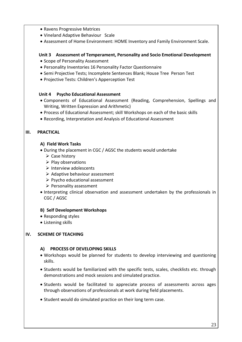- Ravens Progressive Matrices
- Vineland Adaptive Behaviour Scale
- Assessment of Home Environment: HOME Inventory and Family Environment Scale.

#### **Unit 3 Assessment of Temperament, Personality and Socio Emotional Development**

- Scope of Personality Assessment
- Personality Inventories 16 Personality Factor Questionnaire
- Semi Projective Tests; Incomplete Sentences Blank; House Tree Person Test
- Projective Tests: Children's Apperception Test

#### **Unit 4 Psycho Educational Assessment**

- Components of Educational Assessment (Reading, Comprehension, Spellings and Writing, Written Expression and Arithmetic)
- Process of Educational Assessment; skill Workshops on each of the basic skills
- Recording, Interpretation and Analysis of Educational Assessment

#### **III. PRACTICAL**

#### **A) Field Work Tasks**

- During the placement in CGC / AGSC the students would undertake
	- $\triangleright$  Case history
	- $\triangleright$  Play observations
	- $\triangleright$  Interview adolescents
	- $\triangleright$  Adaptive behaviour assessment
	- $\triangleright$  Psycho educational assessment
	- $\triangleright$  Personality assessment
- Interpreting clinical observation and assessment undertaken by the professionals in CGC / AGSC

#### **B) Self Development Workshops**

- Responding styles
- Listening skills

#### **IV. SCHEME OF TEACHING**

#### **A) PROCESS OF DEVELOPING SKILLS**

- Workshops would be planned for students to develop interviewing and questioning skills.
- Students would be familiarized with the specific tests, scales, checklists etc. through demonstrations and mock sessions and simulated practice.
- Students would be facilitated to appreciate process of assessments across ages through observations of professionals at work during field placements.
- Student would do simulated practice on their long term case.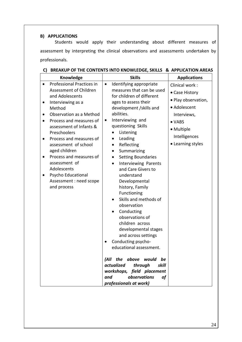#### **B) APPLICATIONS**

Students would apply their understanding about different measures of assessment by interpreting the clinical observations and assessments undertaken by professionals.

| Knowledge                                                                                                                                                                                                                                                                                                                                                                                                          | <b>Skills</b>                                                                                                                                                                                                                                                                                                                                                                                                                                                                                                                                                                                                                                                                                                                                                                                                                         | <b>Applications</b>                                                                                                                                  |
|--------------------------------------------------------------------------------------------------------------------------------------------------------------------------------------------------------------------------------------------------------------------------------------------------------------------------------------------------------------------------------------------------------------------|---------------------------------------------------------------------------------------------------------------------------------------------------------------------------------------------------------------------------------------------------------------------------------------------------------------------------------------------------------------------------------------------------------------------------------------------------------------------------------------------------------------------------------------------------------------------------------------------------------------------------------------------------------------------------------------------------------------------------------------------------------------------------------------------------------------------------------------|------------------------------------------------------------------------------------------------------------------------------------------------------|
| Professional Practices in<br>Assessment of Children<br>and Adolescents<br>Interviewing as a<br>Method<br>Observation as a Method<br>Process and measures of<br>assessment of Infants &<br>Preschoolers<br>Process and measures of<br>assessment of school<br>aged children<br>Process and measures of<br>$\bullet$<br>assessment of<br>Adolescents<br>Psycho Educational<br>Assessment : need scope<br>and process | Identifying appropriate<br>$\bullet$<br>measures that can be used<br>for children of different<br>ages to assess their<br>development /skills and<br>abilities.<br>Interviewing and<br>$\bullet$<br>questioning Skills<br>Listening<br>Leading<br>Reflecting<br>$\bullet$<br>Summarizing<br>٠<br><b>Setting Boundaries</b><br>$\bullet$<br><b>Interviewing Parents</b><br>$\bullet$<br>and Care Givers to<br>understand<br>Developmental<br>history, Family<br>Functioning<br>Skills and methods of<br>observation<br>Conducting<br>observations of<br>children across<br>developmental stages<br>and across settings<br>Conducting psycho-<br>educational assessment.<br>the above would<br>(All<br>be<br>actualized<br>through<br>skill<br>workshops, field placement<br>observations<br>and<br><b>of</b><br>professionals at work) | Clinical work:<br>• Case History<br>· Play observation,<br>• Adolescent<br>Interviews,<br>• VABS<br>• Multiple<br>Intelligences<br>• Learning styles |

### **C) BREAKUP OF THE CONTENTS INTO KNOWLEDGE, SKILLS & APPLICATION AREAS**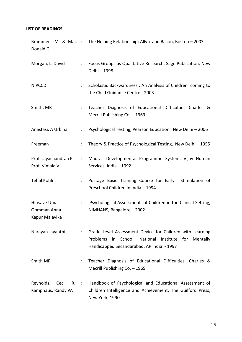| <b>LIST OF READINGS</b>                                   |                        |                                                                                                                                                                             |
|-----------------------------------------------------------|------------------------|-----------------------------------------------------------------------------------------------------------------------------------------------------------------------------|
| Donald G                                                  |                        | Brammer LM, & Mac : The Helping Relationship; Allyn and Bacon, Boston - 2003                                                                                                |
| Morgan, L. David                                          | $\ddot{\phantom{a}}$   | Focus Groups as Qualitative Research; Sage Publication, New<br>Delhi - 1998                                                                                                 |
| <b>NIPCCD</b>                                             | $\ddot{\cdot}$         | Scholastic Backwardness: An Analysis of Children coming to<br>the Child Guidance Centre - 2003                                                                              |
| Smith, MR                                                 | ÷                      | Teacher Diagnosis of Educational Difficulties Charles &<br>Merrill Publishing Co. - 1969                                                                                    |
| Anastasi, A Urbina                                        | $\ddot{\cdot}$         | Psychological Testing, Pearson Education, New Delhi-2006                                                                                                                    |
| Freeman                                                   | $\ddot{\phantom{a}}$   | Theory & Practice of Psychological Testing, New Delhi - 1955                                                                                                                |
| Prof. Jayachandran P.<br>Prof. Vimala V                   | $\ddot{\phantom{a}}$ . | Madras Developmental Programme System, Vijay Human<br>Services, India - 1992                                                                                                |
| <b>Tehal Kohli</b>                                        | ÷                      | Postage Basic Training Course for Early Stimulation of<br>Preschool Children in India - 1994                                                                                |
| Hirisave Uma<br>Oomman Anna<br>Kapur Malavika             | ÷                      | Psychological Assessment of Children in the Clinical Setting,<br>NIMHANS, Bangalore - 2002                                                                                  |
| Narayan Jayanthi                                          | $\ddot{\phantom{a}}$   | Grade Level Assessment Device for Children with Learning<br>Problems<br>in School.<br>National<br>Institute<br>for<br>Mentally<br>Handicapped Secandarabad, AP India - 1997 |
| Smith MR                                                  | ÷                      | Teacher Diagnosis of Educational Difficulties, Charles &<br>Mecrill Publishing Co. - 1969                                                                                   |
| Reynolds,<br>Cecil<br>$R_{\cdot}$ :<br>Kamphaus, Randy W. |                        | Handbook of Psychological and Educational Assessment of<br>Children Intelligence and Achievement, The Guilford Press,<br>New York, 1990                                     |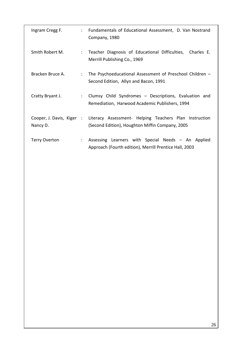| Ingram Cregg F.                       | $\ddot{\phantom{0}}$ | Fundamentals of Educational Assessment, D. Van Nostrand<br>Company, 1980                                     |
|---------------------------------------|----------------------|--------------------------------------------------------------------------------------------------------------|
| Smith Robert M.                       | $\ddot{\phantom{0}}$ | Teacher Diagnosis of Educational Difficulties, Charles E.<br>Merrill Publishing Co., 1969                    |
| Bracken Bruce A.                      | $\ddot{\phantom{0}}$ | The Psychoeducational Assessment of Preschool Children -<br>Second Edition, Allyn and Bacon, 1991            |
| Cratty Bryant J.                      | $\ddot{\phantom{0}}$ | Clumsy Child Syndromes - Descriptions, Evaluation and<br>Remediation, Harwood Academic Publishers, 1994      |
| Cooper, J. Davis, Kiger :<br>Nancy D. |                      | Literacy Assessment- Helping Teachers Plan Instruction<br>(Second Edition), Houghton Miffin Company, 2005    |
| <b>Terry Overton</b>                  | ÷                    | Assessing Learners with Special Needs - An Applied<br>Approach (Fourth edition), Merrill Prentice Hall, 2003 |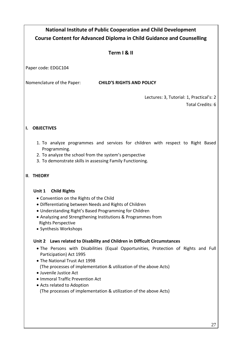## **National Institute of Public Cooperation and Child Development Course Content for Advanced Diploma in Child Guidance and Counselling Term I & II** Paper code: EDGC104 Nomenclature of the Paper: **CHILD'S RIGHTS AND POLICY** Lectures: 3, Tutorial: 1, Practical's: 2 Total Credits: 6 **I. OBJECTIVES** 1. To analyze programmes and services for children with respect to Right Based Programming. 2. To analyze the school from the system's perspective 3. To demonstrate skills in assessing Family Functioning. **II**. **THEORY Unit 1 Child Rights**  Convention on the Rights of the Child Differentiating between Needs and Rights of Children Understanding Right's Based Programming for Children Analyzing and Strengthening Institutions & Programmes from Rights Perspective • Synthesis Workshops  **Unit 2 Laws related to Disability and Children in Difficult Circumstances**  The Persons with Disabilities (Equal Opportunities, Protection of Rights and Full Participation) Act 1995 • The National Trust Act 1998 (The processes of implementation & utilization of the above Acts) Juvenile Justice Act • Immoral Traffic Prevention Act Acts related to Adoption (The processes of implementation & utilization of the above Acts)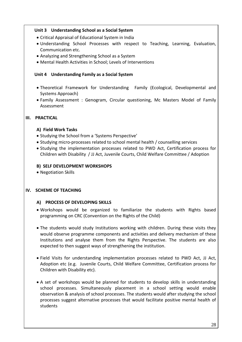#### **Unit 3 Understanding School as a Social System**

- Critical Appraisal of Educational System in India
- Understanding School Processes with respect to Teaching, Learning, Evaluation, Communication etc.
- Analyzing and Strengthening School as a System
- Mental Health Activities in School; Levels of Interventions

#### **Unit 4 Understanding Family as a Social System**

- Theoretical Framework for Understanding Family (Ecological, Developmental and Systems Approach)
- Family Assessment : Genogram, Circular questioning, Mc Masters Model of Family Assessment

#### **III. PRACTICAL**

#### **A) Field Work Tasks**

- Studying the School from a 'Systems Perspective'
- Studying micro-processes related to school mental health / counselling services
- Studying the implementation processes related to PWD Act, Certification process for Children with Disability / JJ Act, Juvenile Courts, Child Welfare Committee / Adoption

#### **B) SELF DEVELOPMENT WORKSHOPS**

• Negotiation Skills

#### **IV. SCHEME OF TEACHING**

#### **A) PROCESS OF DEVELOPING SKILLS**

- Workshops would be organized to familiarize the students with Rights based programming on CRC (Convention on the Rights of the Child)
- The students would study Institutions working with children. During these visits they would observe programme components and activities and delivery mechanism of these Institutions and analyse them from the Rights Perspective. The students are also expected to then suggest ways of strengthening the institution.
- Field Visits for understanding implementation processes related to PWD Act, JJ Act, Adoption etc (e.g. Juvenile Courts, Child Welfare Committee, Certification process for Children with Disability etc).
- A set of workshops would be planned for students to develop skills in understanding school processes. Simultaneously placement in a school setting would enable observation & analysis of school processes. The students would after studying the school processes suggest alternative processes that would facilitate positive mental health of students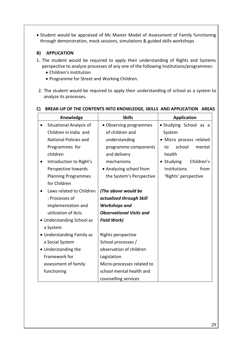Student would be appraised of Mc Master Model of Assessment of Family functioning through demonstration, mock sessions, simulations & guided skills workshops

#### **B) APPLICATION**

- 1. The student would be required to apply their understanding of Rights and Systems perspective to analyze processes of any one of the following Institutions/programmes:
	- Children's Institution
	- Programme for Street and Working Children.
- 2. The student would be required to apply their understanding of school as a system to analyze its processes.

| Knowledge                            | <b>Skills</b>                   | <b>Application</b>       |
|--------------------------------------|---------------------------------|--------------------------|
| Situational Analysis of<br>$\bullet$ | • Observing programmes          | • Studying School as a   |
| Children in India and                | of children and                 | System                   |
| <b>National Policies and</b>         | understanding                   | · Micro process related  |
| Programmes for                       | programme components            | school<br>mental<br>to   |
| children                             | and delivery                    | health                   |
| Introduction to Right's              | mechanisms                      | • Studying<br>Children's |
| Perspective towards                  | • Analyzing school from         | Institutions<br>from     |
| <b>Planning Programmes</b>           | the System's Perspective        | 'Rights' perspective     |
| for Children                         |                                 |                          |
| Laws related to Children             | (The above would be             |                          |
| : Processes of                       | actualized through Skill        |                          |
| implementation and                   | <b>Workshops and</b>            |                          |
| utilization of Acts                  | <b>Observational Visits and</b> |                          |
| • Understanding School as            | <b>Field Work)</b>              |                          |
| a System                             |                                 |                          |
| • Understanding Family as            | Rights perspective              |                          |
| a Social System                      | School processes /              |                          |
| • Understanding the                  | observation of children         |                          |
| Framework for                        | Legislation                     |                          |
| assessment of family                 | Micro-processes related to      |                          |
| functioning                          | school mental health and        |                          |
|                                      | counselling services            |                          |

#### **C) BREAK-UP OF THE CONTENTS INTO KNOWLEDGE, SKILLS AND APPLICATION AREAS**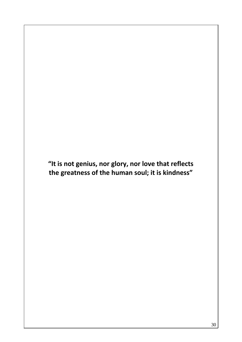**"It is not genius, nor glory, nor love that reflects the greatness of the human soul; it is kindness"**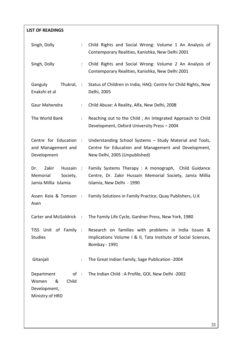| <b>LIST OF READINGS</b>                                                     |                      |                                                                                                                                                   |
|-----------------------------------------------------------------------------|----------------------|---------------------------------------------------------------------------------------------------------------------------------------------------|
| Singh, Dolly                                                                | ÷                    | Child Rights and Social Wrong: Volume 1 An Analysis of<br>Contemporary Realities, Kanishka, New Delhi 2001                                        |
| Singh, Dolly                                                                |                      | Child Rights and Social Wrong: Volume 2 An Analysis of<br>Contemporary Realities, Kanishka, New Delhi 2001                                        |
| Thukral, :<br>Ganguly<br>Enakshi et al                                      |                      | Status of Children in India, HAQ: Centre for Child Rights, New<br>Delhi, 2005                                                                     |
| Gaur Mahendra                                                               | $\ddot{\phantom{a}}$ | Child Abuse: A Reality, Alfa, New Delhi, 2008                                                                                                     |
| The World Bank                                                              | $\ddot{\cdot}$       | Reaching out to the Child; An Integrated Approach to Child<br>Development, Oxford University Press - 2004                                         |
| Centre for Education :<br>and Management and<br>Development                 |                      | Understanding School Systems - Study Material and Tools,<br>Centre for Education and Management and Development,<br>New Delhi, 2005 (Unpublished) |
| Zakir<br>Hussain:<br>Dr.<br>Memorial<br>Society,<br>Jamia Millia Islamia    |                      | Family Systems Therapy: A monograph, Child Guidance<br>Centre, Dr. Zakir Hussain Memorial Society, Jamia Millia<br>Islamia, New Delhi - 1990      |
| Assen Keia & Tomson:<br>Asen                                                |                      | Family Solutions in Family Practice, Quay Publishers, U.K.                                                                                        |
| Carter and McGoldrick :                                                     |                      | The Family Life Cycle, Gardner Press, New York, 1980                                                                                              |
| TISS Unit of Family :<br><b>Studies</b>                                     |                      | Research on families with problems in India Issues &<br>Implications Volume I & II, Tata Institute of Social Sciences,<br>Bombay - 1991           |
| Gitanjali                                                                   | $\ddot{\cdot}$       | The Great Indian Family, Sage Publication -2004                                                                                                   |
| Department<br>of:<br>&<br>Child<br>Women<br>Development,<br>Ministry of HRD |                      | The Indian Child: A Profile, GOI, New Delhi -2002                                                                                                 |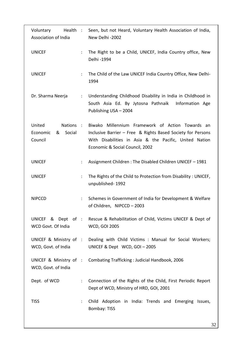| Voluntary<br>Health :<br>Association of India             |                      | Seen, but not Heard, Voluntary Health Association of India,<br>New Delhi - 2002                                                                                                                              |
|-----------------------------------------------------------|----------------------|--------------------------------------------------------------------------------------------------------------------------------------------------------------------------------------------------------------|
| <b>UNICEF</b>                                             | $\ddot{\phantom{a}}$ | The Right to be a Child, UNICEF, India Country office, New<br>Delhi - 1994                                                                                                                                   |
| <b>UNICEF</b>                                             | $\ddot{\phantom{a}}$ | The Child of the Law UNICEF India Country Office, New Delhi-<br>1994                                                                                                                                         |
| Dr. Sharma Neerja                                         | $\ddot{\ddot{}}$ .   | Understanding Childhood Disability in India in Childhood in<br>South Asia Ed. By Jytosna Pathnaik Information Age<br>Publishing USA - 2004                                                                   |
| United<br>Nations :<br>Social<br>Economic<br>&<br>Council |                      | Biwako Millennium Framework of Action Towards an<br>Inclusive Barrier - Free & Rights Based Society for Persons<br>With Disabilities in Asia & the Pacific, United Nation<br>Economic & Social Council, 2002 |
| <b>UNICEF</b>                                             | $\ddot{\cdot}$       | Assignment Children: The Disabled Children UNICEF - 1981                                                                                                                                                     |
| <b>UNICEF</b>                                             | ÷                    | The Rights of the Child to Protection from Disability: UNICEF,<br>unpublished-1992                                                                                                                           |
| <b>NIPCCD</b>                                             | $\ddot{\phantom{a}}$ | Schemes in Government of India for Development & Welfare<br>of Children, NIPCCD - 2003                                                                                                                       |
| WCD Govt. Of India                                        |                      | UNICEF & Dept of : Rescue & Rehabilitation of Child, Victims UNICEF & Dept of<br><b>WCD, GOI 2005</b>                                                                                                        |
| WCD, Govt. of India                                       |                      | UNICEF & Ministry of : Dealing with Child Victims : Manual for Social Workers;<br>UNICEF & Dept WCD, GOI-2005                                                                                                |
| WCD, Govt. of India                                       |                      | UNICEF & Ministry of : Combating Trafficking : Judicial Handbook, 2006                                                                                                                                       |
| Dept. of WCD                                              | $\ddot{\cdot}$       | Connection of the Rights of the Child, First Periodic Report<br>Dept of WCD, Ministry of HRD, GOI, 2001                                                                                                      |
| <b>TISS</b>                                               | $\ddot{\cdot}$       | Child Adoption in India: Trends and Emerging Issues,<br><b>Bombay: TISS</b>                                                                                                                                  |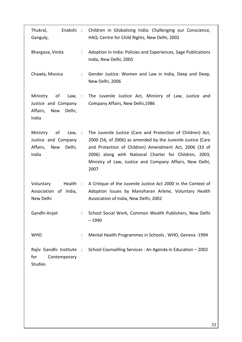| Thukral,<br>Enakshi:<br>Ganguly,                                                       |                      | Children in Globalising India: Challenging our Conscience,<br>HAQ: Centre for Child Rights, New Delhi, 2002                                                                                                                                                                                                       |
|----------------------------------------------------------------------------------------|----------------------|-------------------------------------------------------------------------------------------------------------------------------------------------------------------------------------------------------------------------------------------------------------------------------------------------------------------|
| Bhargava, Vinita                                                                       | $\ddot{\phantom{a}}$ | Adoption in India: Policies and Experiences, Sage Publications<br>India, New Delhi, 2005                                                                                                                                                                                                                          |
| Chawla, Monica                                                                         | $\ddot{\phantom{a}}$ | Gender Justice: Women and Law in India, Deep and Deep,<br>New Delhi, 2006                                                                                                                                                                                                                                         |
| Ministry<br>of<br>Law, :<br>Justice and Company<br>Affairs,<br>New<br>Delhi,<br>India  |                      | The Juvenile Justice Act, Ministry of Law, Justice and<br>Company Affairs, New Delhi, 1986                                                                                                                                                                                                                        |
| Ministry<br>of<br>Law, ::<br>Justice and Company<br>Affairs,<br>Delhi,<br>New<br>India |                      | The Juvenile Justice (Care and Protection of Children) Act,<br>2000 (56, of 2006) as amended by the Juvenile Justice (Care<br>and Protection of Children) Amendment Act, 2006 (33 of<br>2006) along with National Charter for Children, 2003,<br>Ministry of Law, Justice and Company Affairs, New Delhi,<br>2007 |
| Voluntary<br>Health :<br>Association of India,<br>New Delhi                            |                      | A Critique of the Juvenile Justice Act 2000 in the Context of<br>Adoption Issues by Manoharan Arlene, Voluntary Health<br>Association of India, New Delhi, 2002                                                                                                                                                   |
| Gandhi Anjali                                                                          | $\ddot{\phantom{0}}$ | School Social Work, Common Wealth Publishers, New Delhi<br>$-1990$                                                                                                                                                                                                                                                |
| <b>WHO</b>                                                                             | $\ddot{\phantom{a}}$ | Mental Health Programmes in Schools, WHO, Geneva -1994                                                                                                                                                                                                                                                            |
| Rajiv Gandhi Institute :<br>for<br>Contemporary<br><b>Studies</b>                      |                      | School Counselling Services : An Agenda in Education - 2002                                                                                                                                                                                                                                                       |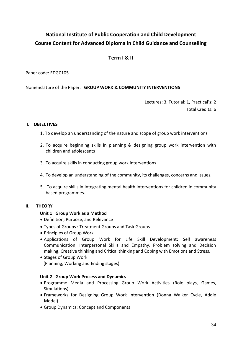## **National Institute of Public Cooperation and Child Development Course Content for Advanced Diploma in Child Guidance and Counselling**

#### **Term I & II**

Paper code: EDGC105

Nomenclature of the Paper: **GROUP WORK & COMMUNITY INTERVENTIONS**

Lectures: 3, Tutorial: 1, Practical's: 2 Total Credits: 6

#### **I. OBJECTIVES**

- 1. To develop an understanding of the nature and scope of group work interventions
- 2. To acquire beginning skills in planning & designing group work intervention with children and adolescents
- 3. To acquire skills in conducting group work interventions
- 4. To develop an understanding of the community, its challenges, concerns and issues.
- 5. To acquire skills in integrating mental health interventions for children in community based programmes.

#### **II. THEORY**

#### **Unit 1 Group Work as a Method**

- Definition, Purpose, and Relevance
- Types of Groups : Treatment Groups and Task Groups
- Principles of Group Work
- Applications of Group Work for Life Skill Development: Self awareness Communication, Interpersonal Skills and Empathy, Problem solving and Decision making, Creative thinking and Critical thinking and Coping with Emotions and Stress.
- Stages of Group Work (Planning, Working and Ending stages)

#### **Unit 2 Group Work Process and Dynamics**

- Programme Media and Processing Group Work Activities (Role plays, Games, Simulations)
- Frameworks for Designing Group Work Intervention (Donna Walker Cycle, Addie Model)
- Group Dynamics: Concept and Components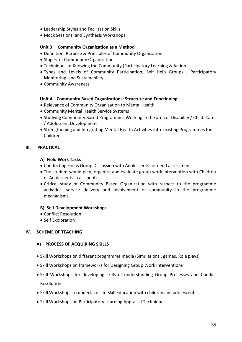- Leadership Styles and Facilitation Skills
- Mock Sessions and Synthesis Workshops

#### **Unit 3 Community Organization as a Method**

- Definition, Purpose & Principles of Community Organisation
- Stages of Community Organization
- Techniques of Knowing the Community (Participatory Learning & Action)
- Types and Levels of Community Participation; Self Help Groups ; Participatory Monitoring and Sustainability
- Community Awareness

#### **Unit 4 Community Based Organizations: Structure and Functioning**

- Relevance of Community Organisation to Mental Health
- Community Mental Health Service Systems
- Studying Community Based Programmes Working in the area of Disability / Child Care / Adolescent Development
- Strengthening and Integrating Mental Health Activities into existing Programmes for Children

#### **III. PRACTICAL**

#### **A) Field Work Tasks**

- Conducting Focus Group Discussion with Adolescents for need assessment
- The student would plan, organize and evaluate group work intervention with Children or Adolescents in a school)
- Critical study of Community Based Organization with respect to the programme activities, service delivery and involvement of community in the programme mechanisms.

#### **B) Self Development Workshops**

- Conflict Resolution
- Self Exploration

#### **IV. SCHEME OF TEACHING**

#### **A) PROCESS OF ACQUIRING SKILLS**

- Skill Workshops on different programme media (Simulations, games. Role plays)
- Skill Workshops on frameworks for Designing Group Work Interventions
- Skill Workshops for developing skills of understanding Group Processes and Conflict Resolution.
- Skill Workshops to undertake Life Skill Education with children and adolescents..
- Skill Workshops on Participatory Learning Appraisal Techniques.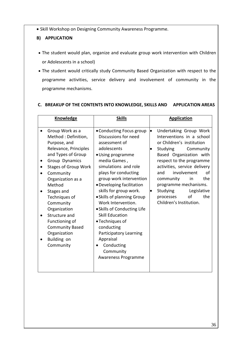• Skill Workshop on Designing Community Awareness Programme.

#### **B) APPLICATION**

- The student would plan, organize and evaluate group work intervention with Children or Adolescents in a school)
- The student would critically study Community Based Organization with respect to the programme activities, service delivery and involvement of community in the programme mechanisms.

#### **C. BREAKUP OF THE CONTENTS INTO KNOWLEDGE, SKILLS AND APPLICATION AREAS**

| <b>Knowledge</b>                                                                                                                                                                                                                                                                                                                                                             | <b>Skills</b>                                                                                                                                                                                                                                                                                                                                                                                                                                                                                  | <b>Application</b>                                                                                                                                                                                                                                                                                                                                                                                      |
|------------------------------------------------------------------------------------------------------------------------------------------------------------------------------------------------------------------------------------------------------------------------------------------------------------------------------------------------------------------------------|------------------------------------------------------------------------------------------------------------------------------------------------------------------------------------------------------------------------------------------------------------------------------------------------------------------------------------------------------------------------------------------------------------------------------------------------------------------------------------------------|---------------------------------------------------------------------------------------------------------------------------------------------------------------------------------------------------------------------------------------------------------------------------------------------------------------------------------------------------------------------------------------------------------|
| Group Work as a<br>Method: Definition,<br>Purpose, and<br>Relevance, Principles<br>and Types of Group<br>Group Dynamics<br><b>Stages of Group Work</b><br>Community<br>Organization as a<br>Method<br>Stages and<br>Techniques of<br>Community<br>Organization<br>Structure and<br>Functioning of<br><b>Community Based</b><br>Organization<br>Building on<br>٠<br>Community | • Conducting Focus group<br>Discussions for need<br>assessment of<br>adolescents<br>• Using programme<br>media Games,<br>simulations and role<br>plays for conducting<br>group work intervention<br>· Developing facilitation<br>skills for group work.<br>• Skills of planning Group<br>Work Intervention.<br>• Skills of Conducting Life<br><b>Skill Education</b><br>• Techniques of<br>conducting<br>Participatory Learning<br>Appraisal<br>Conducting<br>Community<br>Awareness Programme | $\bullet$<br>Undertaking Group Work<br>Interventions in a school<br>or Children's institution<br>Studying<br>Community<br>$\bullet$<br>Based Organization with<br>respect to the programme<br>activities, service delivery<br>involvement<br>and<br>οf<br>the<br>community<br>in.<br>programme mechanisms.<br>Studying<br>Legislative<br>$\bullet$<br>of<br>the<br>processes<br>Children's Institution. |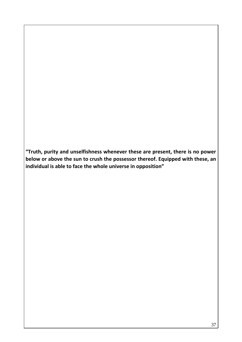**"Truth, purity and unselfishness whenever these are present, there is no power below or above the sun to crush the possessor thereof. Equipped with these, an individual is able to face the whole universe in opposition"**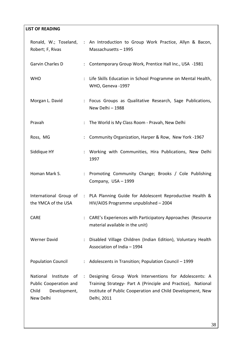### **LIST OF READING**

| Robert; F, Rivas                                                                            |                      | Ronald, W.; Toseland, : An Introduction to Group Work Practice, Allyn & Bacon,<br>Massachusetts - 1995                                                                                             |
|---------------------------------------------------------------------------------------------|----------------------|----------------------------------------------------------------------------------------------------------------------------------------------------------------------------------------------------|
| Garvin Charles D                                                                            | $\ddot{\phantom{a}}$ | Contemporary Group Work, Prentice Hall Inc., USA -1981                                                                                                                                             |
| <b>WHO</b>                                                                                  | ÷                    | Life Skills Education in School Programme on Mental Health,<br>WHO, Geneva -1997                                                                                                                   |
| Morgan L. David                                                                             |                      | : Focus Groups as Qualitative Research, Sage Publications,<br>New Delhi-1988                                                                                                                       |
| Pravah                                                                                      | $\ddot{\phantom{a}}$ | The World is My Class Room - Pravah, New Delhi                                                                                                                                                     |
| Ross, MG                                                                                    | ÷                    | Community Organization, Harper & Row, New York -1967                                                                                                                                               |
| Siddique HY                                                                                 |                      | : Working with Communities, Hira Publications, New Delhi<br>1997                                                                                                                                   |
| Homan Mark S.                                                                               | ÷                    | Promoting Community Change; Brooks / Cole Publishing<br>Company, USA - 1999                                                                                                                        |
| the YMCA of the USA                                                                         |                      | International Group of : PLA Planning Guide for Adolescent Reproductive Health &<br>HIV/AIDS Programme unpublished - 2004                                                                          |
| <b>CARE</b>                                                                                 |                      | CARE's Experiences with Participatory Approaches (Resource<br>material available in the unit)                                                                                                      |
| <b>Werner David</b>                                                                         | ÷                    | Disabled Village Children (Indian Edition), Voluntary Health<br>Association of India - 1994                                                                                                        |
| <b>Population Council</b>                                                                   | ÷.                   | Adolescents in Transition; Population Council - 1999                                                                                                                                               |
| National<br>Institute<br>of<br>Public Cooperation and<br>Child<br>Development,<br>New Delhi | ÷                    | Designing Group Work Interventions for Adolescents: A<br>Training Strategy- Part A (Principle and Practice), National<br>Institute of Public Cooperation and Child Development, New<br>Delhi, 2011 |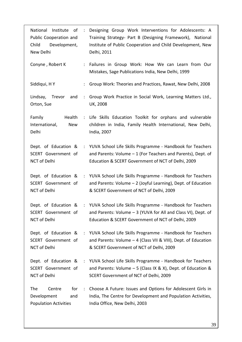| National<br>Institute<br>of<br>Public Cooperation and<br>Development,<br>Child<br>New Delhi | $\sim$ 1.            | Designing Group Work Interventions for Adolescents: A<br>Training Strategy- Part B (Designing Framework), National<br>Institute of Public Cooperation and Child Development, New<br>Delhi, 2011 |
|---------------------------------------------------------------------------------------------|----------------------|-------------------------------------------------------------------------------------------------------------------------------------------------------------------------------------------------|
| Conyne, Robert K                                                                            |                      | : Failures in Group Work: How We can Learn from Our<br>Mistakes, Sage Publications India, New Delhi, 1999                                                                                       |
| Siddiqui, HY                                                                                |                      | Group Work: Theories and Practices, Rawat, New Delhi, 2008                                                                                                                                      |
| Lindsay,<br>Trevor<br>and<br>Orton, Sue                                                     | $\ddot{\phantom{a}}$ | Group Work Practice in Social Work, Learning Matters Ltd.,<br><b>UK, 2008</b>                                                                                                                   |
| Health<br>Family<br>International,<br><b>New</b><br>Delhi                                   |                      | : Life Skills Education Toolkit for orphans and vulnerable<br>children in India, Family Health International, New Delhi,<br>India, 2007                                                         |
| Dept. of Education &<br>SCERT Government of<br>NCT of Delhi                                 |                      | : YUVA School Life Skills Programme - Handbook for Teachers<br>and Parents: Volume - 1 (For Teachers and Parents), Dept. of<br>Education & SCERT Government of NCT of Delhi, 2009               |
| SCERT Government of<br>NCT of Delhi                                                         |                      | Dept. of Education & : YUVA School Life Skills Programme - Handbook for Teachers<br>and Parents: Volume - 2 (Joyful Learning), Dept. of Education<br>& SCERT Government of NCT of Delhi, 2009   |
| Dept. of Education &<br>SCERT Government of<br>NCT of Delhi                                 |                      | : YUVA School Life Skills Programme - Handbook for Teachers<br>and Parents: Volume - 3 (YUVA for All and Class VI), Dept. of<br>Education & SCERT Government of NCT of Delhi, 2009              |
| Dept. of Education &<br>SCERT Government of<br><b>NCT of Delhi</b>                          | $\ddot{\phantom{a}}$ | YUVA School Life Skills Programme - Handbook for Teachers<br>and Parents: Volume $-$ 4 (Class VII & VIII), Dept. of Education<br>& SCERT Government of NCT of Delhi, 2009                       |
| Dept. of Education &<br>SCERT Government of<br>NCT of Delhi                                 | $\sim$ 1.            | YUVA School Life Skills Programme - Handbook for Teachers<br>and Parents: Volume $-5$ (Class IX & X), Dept. of Education &<br>SCERT Government of NCT of Delhi, 2009                            |
| The<br>Centre<br>for<br>Development<br>and<br><b>Population Activities</b>                  | $\ddot{\cdot}$       | Choose A Future: Issues and Options for Adolescent Girls in<br>India, The Centre for Development and Population Activities,<br>India Office, New Delhi, 2003                                    |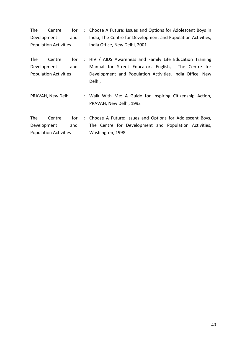| The<br>for<br>Centre<br>Development<br>and<br><b>Population Activities</b> |                                        | $\mathcal{L}$ | Choose A Future: Issues and Options for Adolescent Boys in<br>India, The Centre for Development and Population Activities,<br>India Office, New Delhi, 2001 |                                                                                                                                                                                      |
|----------------------------------------------------------------------------|----------------------------------------|---------------|-------------------------------------------------------------------------------------------------------------------------------------------------------------|--------------------------------------------------------------------------------------------------------------------------------------------------------------------------------------|
| The<br>Development                                                         | Centre<br><b>Population Activities</b> | for<br>and    | $\mathbb{R}^{\mathbb{Z}}$                                                                                                                                   | HIV / AIDS Awareness and Family Life Education Training<br>Manual for Street Educators English, The Centre for<br>Development and Population Activities, India Office, New<br>Delhi, |
|                                                                            | PRAVAH, New Delhi                      |               |                                                                                                                                                             | : Walk With Me: A Guide for Inspiring Citizenship Action,<br>PRAVAH, New Delhi, 1993                                                                                                 |
| The<br>Development                                                         | Centre<br><b>Population Activities</b> | for<br>and    | $\mathcal{L}$                                                                                                                                               | Choose A Future: Issues and Options for Adolescent Boys,<br>The Centre for Development and Population Activities,<br>Washington, 1998                                                |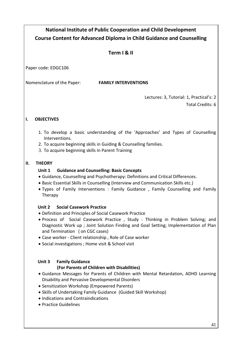# **National Institute of Public Cooperation and Child Development Course Content for Advanced Diploma in Child Guidance and Counselling**

### **Term I & II**

Paper code: EDGC106

Nomenclature of the Paper: **FAMILY INTERVENTIONS**

Lectures: 3, Tutorial: 1, Practical's: 2 Total Credits: 6

### **I. OBJECTIVES**

- 1. To develop a basic understanding of the 'Approaches' and Types of Counselling Interventions.
- 2. To acquire beginning skills in Guiding & Counselling families.
- 3. To acquire beginning skills in Parent Training

### **II. THEORY**

### **Unit 1 Guidance and Counselling: Basic Concepts**

- Guidance, Counselling and Psychotherapy: Definitions and Critical Differences.
- Basic Essential Skills in Counselling (Interview and Communication Skills etc.)
- Types of Family Interventions : Family Guidance , Family Counselling and Family Therapy

### **Unit 2 Social Casework Practice**

- Definition and Principles of Social Casework Practice
- Process of Social Casework Practice , Study : Thinking in Problem Solving; and Diagnostic Work up ; Joint Solution Finding and Goal Setting; Implementation of Plan and Termination ( on CGC cases)
- Case worker Client relationship , Role of Case worker
- Social investigations ; Home visit & School visit

### **Unit 3 Family Guidance**

### **(For Parents of Children with Disabilities)**

- Guidance Messages for Parents of Children with Mental Retardation, ADHD Learning Disability and Pervasive Developmental Disorders
- Sensitization Workshop (Empowered Parents)
- Skills of Undertaking Family Guidance (Guided Skill Workshop)
- Indications and Contraindications
- Practice Guidelines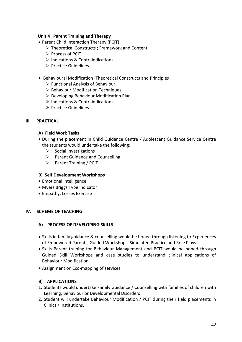### **Unit 4 Parent Training and Therapy**

- Parent Child Interaction Therapy (PCIT):
	- Theoretical Constructs ; Framework and Content
	- Process of PCIT
	- > Indications & Contraindications
	- $\triangleright$  Practice Guidelines
- Behavioural Modification :Theoretical Constructs and Principles
	- $\triangleright$  Functional Analysis of Behaviour
	- $\triangleright$  Behaviour Modification Techniques
	- $\triangleright$  Developing Behaviour Modification Plan
	- $\triangleright$  Indications & Contraindications
	- $\triangleright$  Practice Guidelines

#### **III. PRACTICAL**

#### **A) Field Work Tasks**

 During the placement in Child Guidance Centre / Adolescent Guidance Service Centre the students would undertake the following:

- $\triangleright$  Social Investigations
- $\triangleright$  Parent Guidance and Counselling
- $\triangleright$  Parent Training / PCIT

#### **B) Self Development Workshops**

- Emotional Intelligence
- Myers Briggs Type Indicator
- Empathy: Losses Exercise

#### **IV. SCHEME OF TEACHING**

#### **A) PROCESS OF DEVELOPING SKILLS**

- Skills in family guidance & counselling would be honed through listening to Experiences of Empowered Parents, Guided Workshops, Simulated Practice and Role Plays.
- Skills Parent training for Behaviour Management and PCIT would be honed through Guided Skill Workshops and case studies to understand clinical applications of Behaviour Modification.
- Assignment on Eco-mapping of services

#### **B) APPLICATIONS**

- 1. Students would undertake Family Guidance / Counselling with families of children with Learning, Behaviour or Developmental Disorders
- 2. Student will undertake Behaviour Modification / PCIT during their field placements in Clinics / Institutions.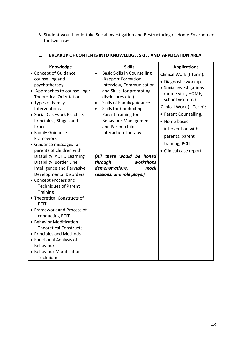3. Student would undertake Social Investigation and Restructuring of Home Environment for two cases

| Knowledge                                                                                                                                                                                                                                                                                                                                                                                                                                                                                                                                                                                                                                                                                                                                                                                                      | <b>Skills</b>                                                                                                                                                                                                                                                                                                                                                                                                                                              | <b>Applications</b>                                                                                                                                                                                                                                                              |
|----------------------------------------------------------------------------------------------------------------------------------------------------------------------------------------------------------------------------------------------------------------------------------------------------------------------------------------------------------------------------------------------------------------------------------------------------------------------------------------------------------------------------------------------------------------------------------------------------------------------------------------------------------------------------------------------------------------------------------------------------------------------------------------------------------------|------------------------------------------------------------------------------------------------------------------------------------------------------------------------------------------------------------------------------------------------------------------------------------------------------------------------------------------------------------------------------------------------------------------------------------------------------------|----------------------------------------------------------------------------------------------------------------------------------------------------------------------------------------------------------------------------------------------------------------------------------|
| • Concept of Guidance<br>counselling and<br>psychotherapy<br>• Approaches to counselling :<br><b>Theoretical Orientations</b><br>• Types of Family<br>Interventions<br>· Social Casework Practice:<br>Principles, Stages and<br>Process<br>• Family Guidance:<br>Framework<br>• Guidance messages for<br>parents of children with<br>Disability, ADHD Learning<br>Disability, Border Line<br>Intelligence and Pervasive<br><b>Developmental Disorders</b><br>• Concept Process and<br><b>Techniques of Parent</b><br><b>Training</b><br>• Theoretical Constructs of<br><b>PCIT</b><br>• Framework and Process of<br>conducting PCIT<br>• Behavior Modification<br><b>Theoretical Constructs</b><br>• Principles and Methods<br>• Functional Analysis of<br>Behaviour<br>• Behaviour Modification<br>Techniques | <b>Basic Skills in Counselling</b><br>$\bullet$<br>(Rapport Formation,<br>Interview, Communication<br>and Skills, for promoting<br>disclosures etc.)<br>Skills of Family guidance<br>$\bullet$<br><b>Skills for Conducting</b><br>$\bullet$<br>Parent training for<br><b>Behaviour Management</b><br>and Parent child<br>Interaction Therapy<br>(All there would be honed<br>through<br>workshops<br>demonstrations,<br>mock<br>sessions, and role plays.) | Clinical Work (I Term):<br>· Diagnostic workup,<br>· Social investigations<br>(home visit, HOME,<br>school visit etc.)<br>Clinical Work (II Term):<br>• Parent Counselling,<br>• Home based<br>intervention with<br>parents, parent<br>training, PCIT,<br>• Clinical case report |

### **C. BREAKUP OF CONTENTS INTO KNOWLEDGE, SKILL AND APPLICATION AREA**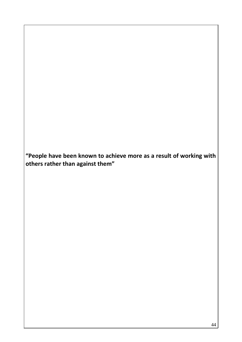**"People have been known to achieve more as a result of working with others rather than against them"**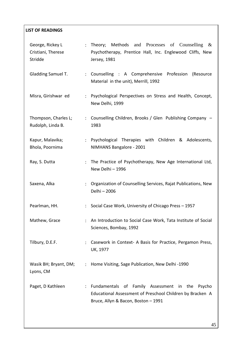# **LIST OF READINGS**  George, Rickey L Cristiani, Therese Stridde : Theory; Methods and Processes of Counselling & Psychotherapy, Prentice Hall, Inc. Englewood Cliffs, New Jersey, 1981 Gladding Samuel T. : Counselling : A Comprehensive Profession (Resource Material in the unit), Merrill, 1992 Misra, Girishwar ed : Psychological Perspectives on Stress and Health, Concept, New Delhi, 1999 Thompson, Charles L; Rudolph, Linda B. : Counselling Children, Brooks / Glen Publishing Company – 1983 Kapur, Malavika; Bhola, Poornima : Psychological Therapies with Children & Adolescents, NIMHANS Bangalore - 2001 Ray, S. Dutta : The Practice of Psychotherapy, New Age International Ltd, New Delhi – 1996 Saxena, Alka : Organization of Counselling Services, Rajat Publications, New Delhi – 2006 Pearlman, HH. : Social Case Work, University of Chicago Press – 1957 Mathew, Grace : An Introduction to Social Case Work, Tata Institute of Social Sciences, Bombay, 1992 Tilbury, D.E.F. : Casework in Context- A Basis for Practice, Pergamon Press, UK, 1977 Wasik BH; Bryant, DM; : Home Visiting, Sage Publication, New Delhi -1990 Lyons, CM Paget, D Kathleen : Fundamentals of Family Assessment in the Psycho Educational Assessment of Preschool Children by Bracken A Bruce, Allyn & Bacon, Boston – 1991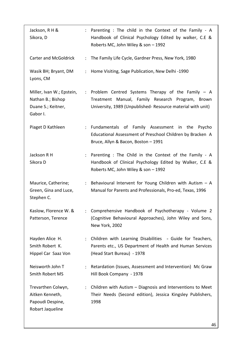| Jackson, R H &<br>Sikora, D                                                      |                      | : Parenting : The child in the Context of the Family - A<br>Handbook of Clinical Psychology Edited by walker, C.E &<br>Roberts MC, John Wiley & son - 1992            |
|----------------------------------------------------------------------------------|----------------------|-----------------------------------------------------------------------------------------------------------------------------------------------------------------------|
| <b>Carter and McGoldrick</b>                                                     |                      | : The Family Life Cycle, Gardner Press, New York, 1980                                                                                                                |
| Wasik BH; Bryant, DM<br>Lyons, CM                                                |                      | : Home Visiting, Sage Publication, New Delhi -1990                                                                                                                    |
| Miller, Ivan W.; Epstein,<br>Nathan B.; Bishop<br>Duane S.; Keitner,<br>Gabor I. |                      | : Problem Centred Systems Therapy of the Family - A<br>Treatment Manual, Family Research Program, Brown<br>University, 1989 (Unpublished-Resource material with unit) |
| Piaget D Kathleen                                                                |                      | : Fundamentals of Family Assessment in the<br>Psycho<br>Educational Assessment of Preschool Children by Bracken A<br>Bruce, Allyn & Bacon, Boston - 1991              |
| Jackson R H<br>Sikora D                                                          |                      | Parenting : The Child in the Context of the Family - A<br>Handbook of Clinical Psychology Edited by Walker, C.E &<br>Roberts MC, John Wiley & son - 1992              |
| Maurice, Catherine;<br>Green, Gina and Luce,<br>Stephen C.                       | ÷                    | Behavioural Intervent for Young Children with Autism $-$ A<br>Manual for Parents and Professionals, Pro-ed, Texas, 1996                                               |
| Kaslow, Florence W. &<br>Patterson, Terence                                      |                      | Comprehensive Handbook of Psychotherapy - Volume 2<br>(Cognitive Behavioural Approaches), John Wiley and Sons,<br>New York, 2002                                      |
| Hayden Alice H.<br>Smith Robert K.<br>Hippel Car Saaz Von                        | $\ddot{\phantom{a}}$ | Children with Learning Disabilities - Guide for Teachers,<br>Parents etc., US Department of Health and Human Services<br>(Head Start Bureau) - 1978                   |
| Neisworth John T<br>Smith Robert MS                                              |                      | Retardation (Issues, Assessment and Intervention) Mc Graw<br>Hill Book Company - 1978                                                                                 |
| Trevarthen Colwyn,<br>Aitken Kenneth,<br>Papoudi Despine,<br>Robart Jaqueline    | $\ddot{\phantom{a}}$ | Children with Autism - Diagnosis and Interventions to Meet<br>Their Needs (Second edition), Jessica Kingsley Publishers,<br>1998                                      |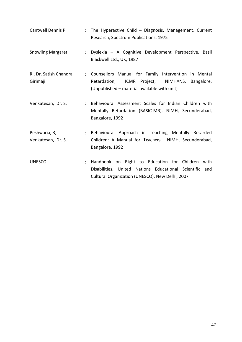| Cantwell Dennis P.                  | : The Hyperactive Child - Diagnosis, Management, Current<br>Research, Spectrum Publications, 1975                                                                 |
|-------------------------------------|-------------------------------------------------------------------------------------------------------------------------------------------------------------------|
| <b>Snowling Margaret</b>            | Dyslexia - A Cognitive Development Perspective, Basil<br>$\mathcal{L}$<br>Blackwell Ltd., UK, 1987                                                                |
| R., Dr. Satish Chandra<br>Girimaji  | : Counsellors Manual for Family Intervention in Mental<br>ICMR Project, NIMHANS, Bangalore,<br>Retardation,<br>(Unpublished – material available with unit)       |
| Venkatesan, Dr. S.                  | : Behavioural Assessment Scales for Indian Children with<br>Mentally Retardation (BASIC-MR), NIMH, Secunderabad,<br>Bangalore, 1992                               |
| Peshwaria, R;<br>Venkatesan, Dr. S. | : Behavioural Approach in Teaching Mentally Retarded<br>Children: A Manual for Teachers, NIMH, Secunderabad,<br>Bangalore, 1992                                   |
| <b>UNESCO</b><br>÷                  | Handbook on Right to Education for Children<br>with<br>Disabilities, United Nations Educational Scientific and<br>Cultural Organization (UNESCO), New Delhi, 2007 |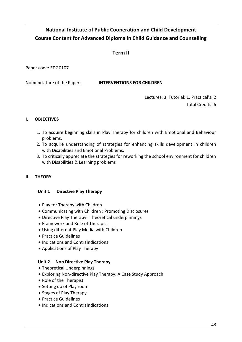# **National Institute of Public Cooperation and Child Development Course Content for Advanced Diploma in Child Guidance and Counselling**

### **Term II**

Paper code: EDGC107

### Nomenclature of the Paper: **INTERVENTIONS FOR CHILDREN**

Lectures: 3, Tutorial: 1, Practical's: 2

Total Credits: 6

### **I. OBJECTIVES**

- 1. To acquire beginning skills in Play Therapy for children with Emotional and Behaviour problems.
- 2. To acquire understanding of strategies for enhancing skills development in children with Disabilities and Emotional Problems.
- 3. To critically appreciate the strategies for reworking the school environment for children with Disabilities & Learning problems

### **II. THEORY**

### **Unit 1 Directive Play Therapy**

- Play for Therapy with Children
- Communicating with Children ; Promoting Disclosures
- Directive Play Therapy: Theoretical underpinnings
- Framework and Role of Therapist
- Using different Play Media with Children
- Practice Guidelines
- Indications and Contraindications
- Applications of Play Therapy

### **Unit 2 Non Directive Play Therapy**

- Theoretical Underpinnings
- Exploring Non-directive Play Therapy: A Case Study Approach
- Role of the Therapist
- Setting up of Play room
- Stages of Play Therapy
- Practice Guidelines
- Indications and Contraindications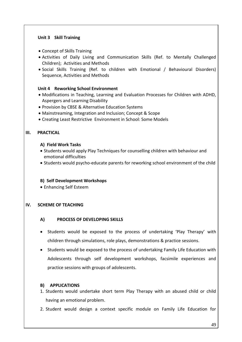#### **Unit 3 Skill Training**

- Concept of Skills Training
- Activities of Daily Living and Communication Skills (Ref. to Mentally Challenged Children); Activities and Methods
- Social Skills Training (Ref. to children with Emotional / Behavioural Disorders) Sequence, Activities and Methods

#### **Unit 4 Reworking School Environment**

- Modifications in Teaching, Learning and Evaluation Processes for Children with ADHD, Aspergers and Learning Disability
- Provision by CBSE & Alternative Education Systems
- Mainstreaming, Integration and Inclusion; Concept & Scope
- Creating Least Restrictive Environment in School: Some Models

#### **III. PRACTICAL**

#### **A) Field Work Tasks**

- Students would apply Play Techniques for counselling children with behaviour and emotional difficulties
- Students would psycho-educate parents for reworking school environment of the child

#### **B) Self Development Workshops**

Enhancing Self Esteem

### **IV. SCHEME OF TEACHING**

#### **A) PROCESS OF DEVELOPING SKILLS**

- Students would be exposed to the process of undertaking 'Play Therapy' with children through simulations, role plays, demonstrations & practice sessions.
- Students would be exposed to the process of undertaking Family Life Education with Adolescents through self development workshops, facsimile experiences and practice sessions with groups of adolescents.

#### **B) APPLICATIONS**

- 1. Students would undertake short term Play Therapy with an abused child or child having an emotional problem.
- 2. Student would design a context specific module on Family Life Education for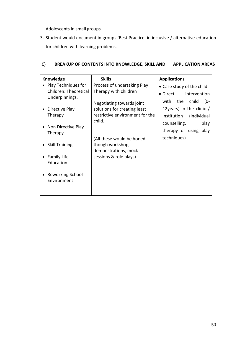Adolescents in small groups.

3. Student would document in groups 'Best Practice' in inclusive / alternative education for children with learning problems.

### **C) BREAKUP OF CONTENTS INTO KNOWLEDGE, SKILL AND APPLICATION AREAS**

|           | Knowledge                                      | <b>Skills</b>                                                                                          | <b>Applications</b>                                                                      |
|-----------|------------------------------------------------|--------------------------------------------------------------------------------------------------------|------------------------------------------------------------------------------------------|
|           | • Play Techniques for<br>Children: Theoretical | Process of undertaking Play<br>Therapy with children                                                   | • Case study of the child<br>intervention<br>• Direct                                    |
|           | Underpinnings.<br>Directive Play<br>Therapy    | Negotiating towards joint<br>solutions for creating least<br>restrictive environment for the<br>child. | the child<br>with<br>$(0 -$<br>12 years) in the clinic $/$<br>(individual<br>institution |
|           | Non Directive Play<br>Therapy                  |                                                                                                        | counselling,<br>play<br>therapy or using play<br>techniques)                             |
|           | • Skill Training                               | (All these would be honed<br>though workshop,<br>demonstrations, mock                                  |                                                                                          |
| $\bullet$ | <b>Family Life</b><br>Education                | sessions & role plays)                                                                                 |                                                                                          |
|           | • Reworking School<br>Environment              |                                                                                                        |                                                                                          |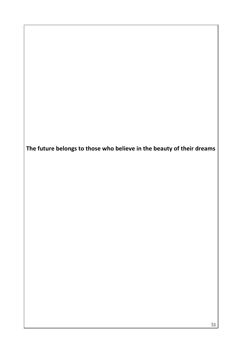**The future belongs to those who believe in the beauty of their dreams**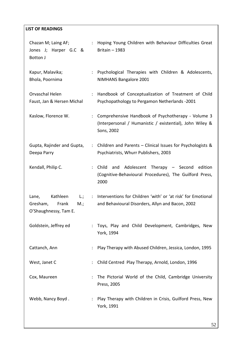### **LIST OF READINGS**

| Chazan M; Laing AF;<br>Jones J; Harper G.C &<br>Botton J                                 | ÷                         | Hoping Young Children with Behaviour Difficulties Great<br>Britain - 1983                                                    |
|------------------------------------------------------------------------------------------|---------------------------|------------------------------------------------------------------------------------------------------------------------------|
| Kapur, Malavika;<br>Bhola, Poornima                                                      | $\ddot{\phantom{a}}$      | Psychological Therapies with Children & Adolescents,<br>NIMHANS Bangalore 2001                                               |
| Orvaschal Helen<br>Faust, Jan & Hersen Michal                                            | $\ddot{\phantom{a}}$      | Handbook of Conceptualization of Treatment of Child<br>Psychopathology to Pergamon Netherlands -2001                         |
| Kaslow, Florence W.                                                                      | ÷                         | Comprehensive Handbook of Psychotherapy - Volume 3<br>(Interpersonal / Humanistic / existential), John Wiley &<br>Sons, 2002 |
| Gupta, Rajinder and Gupta,<br>Deepa Parry                                                | ÷                         | Children and Parents - Clinical Issues for Psychologists &<br>Psychiatrists, Whurr Publishers, 2003                          |
| Kendall, Philip C.                                                                       | $\mathbb{R}^{\mathbb{Z}}$ | Adolescent Therapy - Second edition<br>Child<br>and<br>(Cognitive-Behavioural Procedures), The Guilford Press,<br>2000       |
| Kathleen<br>Lane,<br>$L$ .;<br>Gresham,<br>Frank<br>$M_{\cdot}$<br>O'Shaughnessy, Tam E. | $\mathbb{R}^{\mathbb{Z}}$ | Interventions for Children 'with' or 'at risk' for Emotional<br>and Behavioural Disorders, Allyn and Bacon, 2002             |
| Goldstein, Jeffrey ed                                                                    | ÷.                        | Toys, Play and Child Development, Cambridges, New<br>York, 1994                                                              |
| Cattanch, Ann                                                                            | ÷                         | Play Therapy with Abused Children, Jessica, London, 1995                                                                     |
| West, Janet C                                                                            |                           | Child Centred Play Therapy, Arnold, London, 1996                                                                             |
| Cox, Maureen                                                                             | ÷.                        | The Pictorial World of the Child, Cambridge University<br>Press, 2005                                                        |
| Webb, Nancy Boyd.                                                                        |                           | Play Therapy with Children in Crisis, Guilford Press, New<br>York, 1991                                                      |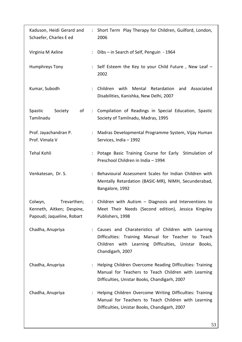| Kaduson, Heidi Gerard and<br>Schaefer, Charles E ed                               |                      | : Short Term Play Therapy for Children, Guilford, London,<br>2006                                                                                                                    |
|-----------------------------------------------------------------------------------|----------------------|--------------------------------------------------------------------------------------------------------------------------------------------------------------------------------------|
| Virginia M Axline                                                                 |                      | : Dibs - in Search of Self, Penguin - 1964                                                                                                                                           |
| Humphreys Tony                                                                    |                      | : Self Esteem the Key to your Child Future, New Leaf -<br>2002                                                                                                                       |
| Kumar, Subodh                                                                     | $\ddot{\phantom{a}}$ | Children with<br>Mental Retardation<br>and Associated<br>Disabilities, Kanishka, New Delhi, 2007                                                                                     |
| Spastic<br>Society<br>of<br>Tamilnadu                                             |                      | : Compilation of Readings in Special Education, Spastic<br>Society of Tamilnadu, Madras, 1995                                                                                        |
| Prof. Jayachandran P.<br>Prof. Vimala V                                           | $\ddot{\phantom{a}}$ | Madras Developmental Programme System, Vijay Human<br>Services, India - 1992                                                                                                         |
| <b>Tehal Kohli</b>                                                                |                      | Potage Basic Training Course for Early Stimulation of<br>Preschool Children in India - 1994                                                                                          |
| Venkatesan, Dr. S.                                                                |                      | Behavioural Assessment Scales for Indian Children with<br>Mentally Retardation (BASIC-MR), NIMH, Secunderabad,<br>Bangalore, 1992                                                    |
| Trevarthen;<br>Colwyn,<br>Kenneth, Aitken; Despine,<br>Papoudi; Jaqueline, Robart |                      | : Children with Autism - Diagnosis and Interventions to<br>Meet Their Needs (Second edition), Jessica Kingsley<br>Publishers, 1998                                                   |
| Chadha, Anupriya                                                                  |                      | Causes and Charateristics of Children with Learning<br>Difficulties: Training Manual for Teacher to Teach<br>Children with Learning Difficulties, Unistar Books,<br>Chandigarh, 2007 |
| Chadha, Anupriya                                                                  |                      | Helping Children Overcome Reading Difficulties: Training<br>Manual for Teachers to Teach Children with Learning<br>Difficulties, Unistar Books, Chandigarh, 2007                     |
| Chadha, Anupriya                                                                  |                      | Helping Children Overcome Writing Difficulties: Training<br>Manual for Teachers to Teach Children with Learning<br>Difficulties, Unistar Books, Chandigarh, 2007                     |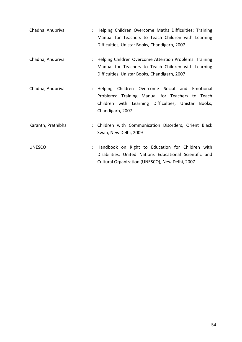| Chadha, Anupriya   | Helping Children Overcome Maths Difficulties: Training<br>÷<br>Manual for Teachers to Teach Children with Learning<br>Difficulties, Unistar Books, Chandigarh, 2007                     |
|--------------------|-----------------------------------------------------------------------------------------------------------------------------------------------------------------------------------------|
| Chadha, Anupriya   | Helping Children Overcome Attention Problems: Training<br>÷<br>Manual for Teachers to Teach Children with Learning<br>Difficulties, Unistar Books, Chandigarh, 2007                     |
| Chadha, Anupriya   | Helping Children Overcome Social and<br>Emotional<br>÷<br>Problems: Training Manual for Teachers to Teach<br>Children with Learning Difficulties, Unistar<br>Books,<br>Chandigarh, 2007 |
| Karanth, Prathibha | Children with Communication Disorders, Orient Black<br>÷<br>Swan, New Delhi, 2009                                                                                                       |
| <b>UNESCO</b>      | Handbook on Right to Education for Children with<br>÷<br>Disabilities, United Nations Educational Scientific and<br>Cultural Organization (UNESCO), New Delhi, 2007                     |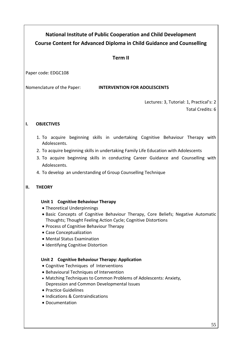# **National Institute of Public Cooperation and Child Development Course Content for Advanced Diploma in Child Guidance and Counselling**

## **Term II**

Paper code: EDGC108

Nomenclature of the Paper: **INTERVENTION FOR ADOLESCENTS**

Lectures: 3, Tutorial: 1, Practical's: 2 Total Credits: 6

### **I. OBJECTIVES**

- 1. To acquire beginning skills in undertaking Cognitive Behaviour Therapy with Adolescents.
- 2. To acquire beginning skills in undertaking Family Life Education with Adolescents
- 3. To acquire beginning skills in conducting Career Guidance and Counselling with Adolescents.
- 4. To develop an understanding of Group Counselling Technique

### **II. THEORY**

### **Unit 1 Cognitive Behaviour Therapy**

- Theoretical Underpinnings
- Basic Concepts of Cognitive Behaviour Therapy, Core Beliefs; Negative Automatic Thoughts; Thought Feeling Action Cycle; Cognitive Distortions
- Process of Cognitive Behaviour Therapy
- Case Conceptualization
- Mental Status Examination
- Identifying Cognitive Distortion

### **Unit 2 Cognitive Behaviour Therapy: Application**

- Cognitive Techniques of Interventions
- Behavioural Techniques of Intervention
- Matching Techniques to Common Problems of Adolescents: Anxiety, Depression and Common Developmental Issues
- Practice Guidelines
- Indications & Contraindications
- Documentation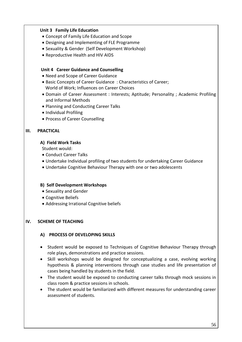#### **Unit 3 Family Life Education**

- Concept of Family Life Education and Scope
- Designing and Implementing of FLE Programme
- Sexuality & Gender (Self Development Workshop)
- Reproductive Health and HIV AIDS

#### **Unit 4 Career Guidance and Counselling**

- Need and Scope of Career Guidance
- Basic Concepts of Career Guidance : Characteristics of Career; World of Work; Influences on Career Choices
- Domain of Career Assessment : Interests; Aptitude; Personality ; Academic Profiling and Informal Methods
- Planning and Conducting Career Talks
- Individual Profiling
- Process of Career Counselling

#### **III. PRACTICAL**

#### **A) Field Work Tasks**

Student would:

- Conduct Career Talks
- Undertake Individual profiling of two students for undertaking Career Guidance
- Undertake Cognitive Behaviour Therapy with one or two adolescents

#### **B) Self Development Workshops**

- Sexuality and Gender
- Cognitive Beliefs
- Addressing Irrational Cognitive beliefs

#### **IV. SCHEME OF TEACHING**

#### **A) PROCESS OF DEVELOPING SKILLS**

- Student would be exposed to Techniques of Cognitive Behaviour Therapy through role plays, demonstrations and practice sessions.
- Skill workshops would be designed for conceptualizing a case, evolving working hypothesis & planning interventions through case studies and life presentation of cases being handled by students in the field.
- The student would be exposed to conducting career talks through mock sessions in class room & practice sessions in schools.
- The student would be familiarized with different measures for understanding career assessment of students.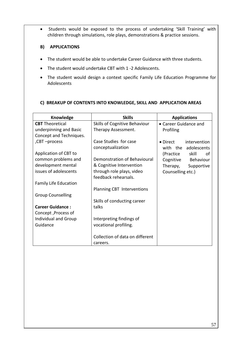Students would be exposed to the process of undertaking 'Skill Training' with children through simulations, role plays, demonstrations & practice sessions.

#### **B) APPLICATIONS**

- The student would be able to undertake Career Guidance with three students.
- The student would undertake CBT with 1 -2 Adolescents.
- The student would design a context specific Family Life Education Programme for Adolescents

#### **C) BREAKUP OF CONTENTS INTO KNOWLEDGE, SKILL AND APPLICATION AREAS**

| Knowledge                    | <b>Skills</b>                               | <b>Applications</b>      |
|------------------------------|---------------------------------------------|--------------------------|
| <b>CBT</b> Theoretical       | Skills of Cognitive Behaviour               | • Career Guidance and    |
| underpinning and Basic       | Therapy Assessment.                         | Profiling                |
| Concept and Techniques.      |                                             |                          |
| ,CBT-process                 | Case Studies for case                       | • Direct intervention    |
|                              | conceptualization                           | with the adolescents     |
| Application of CBT to        |                                             | (Practice<br>skill<br>of |
| common problems and          | Demonstration of Behavioural                | Cognitive Behaviour      |
| development mental           | & Cognitive Intervention                    | Therapy,<br>Supportive   |
| issues of adolescents        | through role plays, video                   | Counselling etc.)        |
|                              | feedback rehearsals.                        |                          |
| <b>Family Life Education</b> |                                             |                          |
|                              | Planning CBT Interventions                  |                          |
| <b>Group Counselling</b>     |                                             |                          |
|                              | Skills of conducting career                 |                          |
| <b>Career Guidance:</b>      | talks                                       |                          |
| Concept , Process of         |                                             |                          |
| Individual and Group         | Interpreting findings of                    |                          |
| Guidance                     | vocational profiling.                       |                          |
|                              | Collection of data on different<br>careers. |                          |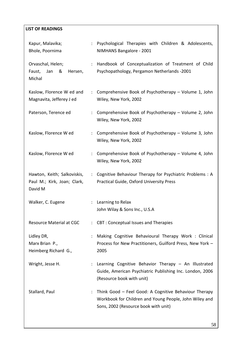### **LIST OF READINGS**

| Kapur, Malavika;<br>Bhole, Poornima                                   |                           | : Psychological Therapies with Children & Adolescents,<br>NIMHANS Bangalore - 2001                                                                      |
|-----------------------------------------------------------------------|---------------------------|---------------------------------------------------------------------------------------------------------------------------------------------------------|
| Orvaschal, Helen;<br>&<br>Faust,<br>Jan<br>Hersen,<br>Michal          |                           | : Handbook of Conceptualization of Treatment of Child<br>Psychopathology, Pergamon Netherlands -2001                                                    |
| Kaslow, Florence W ed and<br>Magnavita, Jefferey J ed                 | $\mathbb{Z}^n$            | Comprehensive Book of Psychotherapy - Volume 1, John<br>Wiley, New York, 2002                                                                           |
| Paterson, Terence ed                                                  | ÷.                        | Comprehensive Book of Psychotherapy – Volume 2, John<br>Wiley, New York, 2002                                                                           |
| Kaslow, Florence W ed                                                 | ÷.                        | Comprehensive Book of Psychotherapy - Volume 3, John<br>Wiley, New York, 2002                                                                           |
| Kaslow, Florence W ed                                                 | ÷.                        | Comprehensive Book of Psychotherapy - Volume 4, John<br>Wiley, New York, 2002                                                                           |
| Hawton, Keith; Salkoviskis,<br>Paul M.; Kirk, Joan; Clark,<br>David M | $\ddot{\phantom{a}}$      | Cognitive Behaviour Therapy for Psychiatric Problems: A<br>Practical Guide, Oxford University Press                                                     |
| Walker, C. Eugene                                                     |                           | Learning to Relax<br>John Wilay & Sons Inc., U.S.A                                                                                                      |
| Resource Material at CGC                                              | $\mathbb{R}^{\mathbb{Z}}$ | <b>CBT: Conceptual Issues and Therapies</b>                                                                                                             |
| Lidley DR,<br>Marx Brian P.,<br>Heimberg Richard G.,                  |                           | Making Cognitive Behavioural Therapy Work: Clinical<br>Process for New Practitioners, Guilford Press, New York -<br>2005                                |
| Wright, Jesse H.                                                      |                           | Learning Cognitive Behavior Therapy - An Illustrated<br>Guide, American Psychiatric Publishing Inc. London, 2006<br>(Resource book with unit)           |
| Stallard, Paul                                                        | $\ddot{\phantom{0}}$      | Think Good - Feel Good: A Cognitive Behaviour Therapy<br>Workbook for Children and Young People, John Wiley and<br>Sons, 2002 (Resource book with unit) |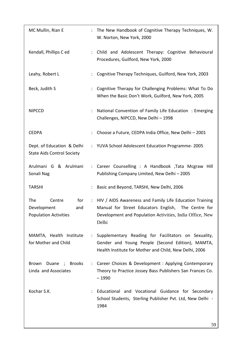| MC Mullin, Rian E                                                   | $\ddot{\phantom{0}}$ | The New Handbook of Cognitive Therapy Techniques, W.<br>W. Norton, New York, 2000                                                                                                         |
|---------------------------------------------------------------------|----------------------|-------------------------------------------------------------------------------------------------------------------------------------------------------------------------------------------|
| Kendall, Phillips C ed                                              | $\ddot{\phantom{a}}$ | Child and Adolescent Therapy: Cognitive Behavioural<br>Procedures, Guilford, New York, 2000                                                                                               |
| Leahy, Robert L                                                     |                      | Cognitive Therapy Techniques, Guilford, New York, 2003                                                                                                                                    |
| Beck, Judith S                                                      |                      | Cognitive Therapy for Challenging Problems: What To Do<br>When the Basic Don't Work, Guilford, New York, 2005                                                                             |
| <b>NIPCCD</b>                                                       |                      | National Convention of Family Life Education: Emerging<br>Challenges, NIPCCD, New Delhi-1998                                                                                              |
| <b>CEDPA</b>                                                        |                      | Choose a Future, CEDPA India Office, New Delhi - 2001                                                                                                                                     |
| Dept. of Education & Delhi<br><b>State Aids Control Society</b>     |                      | : YUVA School Adolescent Education Programme-2005                                                                                                                                         |
| Arulmani G & Arulmani<br>Sonali Nag                                 |                      | : Career Counselling : A Handbook , Tata Mcgraw Hill<br>Publishing Company Limited, New Delhi-2005                                                                                        |
| <b>TARSHI</b>                                                       | $\ddot{\phantom{0}}$ | Basic and Beyond, TARSHI, New Delhi, 2006                                                                                                                                                 |
| The<br>Centre<br>Development<br>and<br><b>Population Activities</b> |                      | for : HIV / AIDS Awareness and Family Life Education Training<br>Manual for Street Educators English, The Centre for<br>Development and Population Activities, India Office, New<br>Delhi |
| MAMTA, Health Institute<br>for Mother and Child                     | ÷.                   | Supplementary Reading for Facilitators on Sexuality,<br>Gender and Young People (Second Edition), MAMTA,<br>Health Institute for Mother and Child, New Delhi, 2006                        |
| Duane ; Brooks<br>Brown<br>Linda and Associates                     |                      | Career Choices & Development: Applying Contemporary<br>Theory to Practice Jossey Bass Publishers San Frances Co.<br>$-1990$                                                               |
| Kochar S.K.                                                         |                      | Educational and Vocational Guidance for Secondary<br>School Students, Sterling Publisher Pvt. Ltd, New Delhi -<br>1984                                                                    |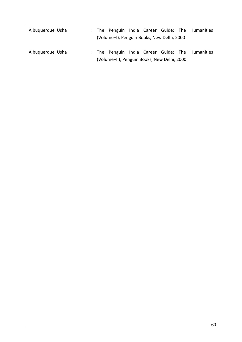| Albuquerque, Usha |                                             |  |                                            |  |  | : The Penguin India Career Guide: The Humanities |
|-------------------|---------------------------------------------|--|--------------------------------------------|--|--|--------------------------------------------------|
|                   |                                             |  | (Volume-I), Penguin Books, New Delhi, 2000 |  |  |                                                  |
| Albuquerque, Usha |                                             |  |                                            |  |  | : The Penguin India Career Guide: The Humanities |
|                   | (Volume-II), Penguin Books, New Delhi, 2000 |  |                                            |  |  |                                                  |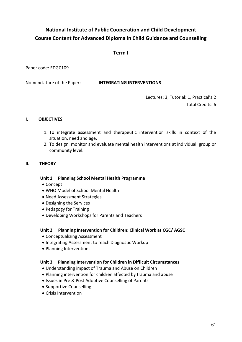| <b>National Institute of Public Cooperation and Child Development</b>                                                                                                                                                      |  |  |  |  |
|----------------------------------------------------------------------------------------------------------------------------------------------------------------------------------------------------------------------------|--|--|--|--|
| <b>Course Content for Advanced Diploma in Child Guidance and Counselling</b>                                                                                                                                               |  |  |  |  |
| Term I                                                                                                                                                                                                                     |  |  |  |  |
|                                                                                                                                                                                                                            |  |  |  |  |
| Paper code: EDGC109                                                                                                                                                                                                        |  |  |  |  |
| Nomenclature of the Paper:<br><b>INTEGRATING INTERVENTIONS</b>                                                                                                                                                             |  |  |  |  |
| Lectures: 3, Tutorial: 1, Practical's:2<br>Total Credits: 6                                                                                                                                                                |  |  |  |  |
| <b>OBJECTIVES</b><br>ı.                                                                                                                                                                                                    |  |  |  |  |
| 1. To integrate assessment and therapeutic intervention skills in context of the<br>situation, need and age.<br>2. To design, monitor and evaluate mental health interventions at individual, group or<br>community level. |  |  |  |  |
| П.<br><b>THEORY</b>                                                                                                                                                                                                        |  |  |  |  |
| Unit 1<br><b>Planning School Mental Health Programme</b><br>• Concept                                                                                                                                                      |  |  |  |  |
| • WHO Model of School Mental Health<br>• Need Assessment Strategies                                                                                                                                                        |  |  |  |  |
| • Designing the Services                                                                                                                                                                                                   |  |  |  |  |
| • Pedagogy for Training                                                                                                                                                                                                    |  |  |  |  |
| • Developing Workshops for Parents and Teachers                                                                                                                                                                            |  |  |  |  |
| Planning Intervention for Children: Clinical Work at CGC/ AGSC<br>Unit 2<br>• Conceptualizing Assessment                                                                                                                   |  |  |  |  |
| • Integrating Assessment to reach Diagnostic Workup                                                                                                                                                                        |  |  |  |  |
| • Planning Interventions                                                                                                                                                                                                   |  |  |  |  |
| Unit 3<br><b>Planning Intervention for Children in Difficult Circumstances</b><br>• Understanding impact of Trauma and Abuse on Children                                                                                   |  |  |  |  |
| • Planning intervention for children affected by trauma and abuse                                                                                                                                                          |  |  |  |  |
| • Issues in Pre & Post Adoptive Counselling of Parents                                                                                                                                                                     |  |  |  |  |
| • Supportive Counselling<br>• Crisis Intervention                                                                                                                                                                          |  |  |  |  |
|                                                                                                                                                                                                                            |  |  |  |  |
|                                                                                                                                                                                                                            |  |  |  |  |
|                                                                                                                                                                                                                            |  |  |  |  |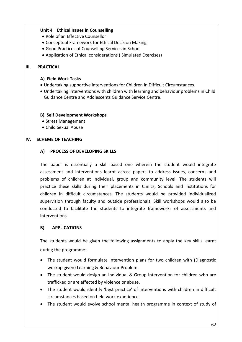### **Unit 4 Ethical Issues in Counselling**

- Role of an Effective Counsellor
- Conceptual Framework for Ethical Decision Making
- Good Practices of Counselling Services in School
- Application of Ethical considerations ( Simulated Exercises)

### **III. PRACTICAL**

### **A) Field Work Tasks**

- Undertaking supportive interventions for Children in Difficult Circumstances.
- Undertaking interventions with children with learning and behaviour problems in Child Guidance Centre and Adolescents Guidance Service Centre.

### **B) Self Development Workshops**

- Stress Management
- Child Sexual Abuse

### **IV. SCHEME OF TEACHING**

### **A) PROCESS OF DEVELOPING SKILLS**

The paper is essentially a skill based one wherein the student would integrate assessment and interventions learnt across papers to address issues, concerns and problems of children at individual, group and community level. The students will practice these skills during their placements in Clinics, Schools and Institutions for children in difficult circumstances. The students would be provided individualized supervision through faculty and outside professionals. Skill workshops would also be conducted to facilitate the students to integrate frameworks of assessments and interventions.

### **B) APPLICATIONS**

The students would be given the following assignments to apply the key skills learnt during the programme:

- The student would formulate Intervention plans for two children with (Diagnostic workup given) Learning & Behaviour Problem
- The student would design an Individual & Group Intervention for children who are trafficked or are affected by violence or abuse.
- The student would identify 'best practice' of interventions with children in difficult circumstances based on field work experiences
- The student would evolve school mental health programme in context of study of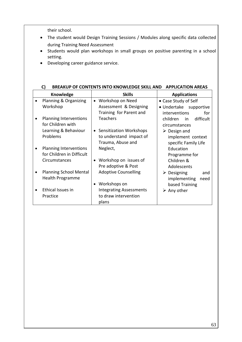their school.

- The student would Design Training Sessions / Modules along specific data collected during Training Need Assessment
- Students would plan workshops in small groups on positive parenting in a school setting.
- Developing career guidance service.

| Knowledge                     | <b>Skills</b>                               | <b>Applications</b>               |
|-------------------------------|---------------------------------------------|-----------------------------------|
| Planning & Organizing         | Workshop on Need<br>$\bullet$               | • Case Study of Self              |
| Workshop                      | Assessment & Designing                      | • Undertake supportive            |
|                               | Training for Parent and                     | interventions<br>for              |
| <b>Planning Interventions</b> | <b>Teachers</b>                             | difficult<br>children<br>in       |
| for Children with             |                                             | circumstances                     |
| Learning & Behaviour          | <b>Sensitization Workshops</b><br>$\bullet$ | $\triangleright$ Design and       |
| Problems                      | to understand impact of                     | implement context                 |
|                               | Trauma, Abuse and                           | specific Family Life              |
| <b>Planning Interventions</b> | Neglect,                                    | Education                         |
| for Children in Difficult     |                                             | Programme for                     |
| Circumstances                 | Workshop on issues of<br>$\bullet$          | Children &                        |
|                               | Pre adoptive & Post                         | Adolescents                       |
| <b>Planning School Mental</b> | <b>Adoptive Counselling</b>                 | $\triangleright$ Designing<br>and |
| Health Programme              |                                             | implementing<br>need              |
|                               | Workshops on<br>$\bullet$                   | based Training                    |
| Ethical Issues in             | <b>Integrating Assessments</b>              | $\triangleright$ Any other        |
| Practice                      | to draw intervention                        |                                   |
|                               | plans                                       |                                   |

#### **C) BREAKUP OF CONTENTS INTO KNOWLEDGE SKILL AND APPLICATION AREAS**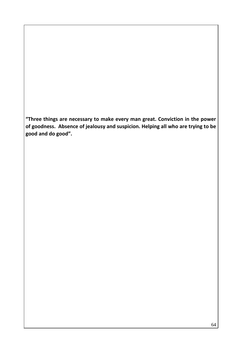**"Three things are necessary to make every man great. Conviction in the power of goodness. Absence of jealousy and suspicion. Helping all who are trying to be good and do good".**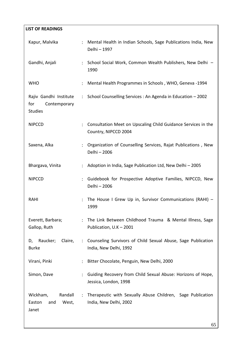| <b>LIST OF READINGS</b>                                         |                                            |                                                                |
|-----------------------------------------------------------------|--------------------------------------------|----------------------------------------------------------------|
| Kapur, Malvika                                                  | Delhi - 1997                               | Mental Health in Indian Schools, Sage Publications India, New  |
| Gandhi, Anjali                                                  | 1990                                       | School Social Work, Common Wealth Publishers, New Delhi -      |
| <b>WHO</b>                                                      |                                            | Mental Health Programmes in Schools, WHO, Geneva -1994         |
| Rajiv Gandhi Institute<br>Contemporary<br>for<br><b>Studies</b> |                                            | School Counselling Services : An Agenda in Education - 2002    |
| <b>NIPCCD</b>                                                   | Country, NIPCCD 2004                       | Consultation Meet on Upscaling Child Guidance Services in the  |
| Saxena, Alka                                                    | Delhi - 2006                               | Organization of Counselling Services, Rajat Publications, New  |
| Bhargava, Vinita                                                |                                            | Adoption in India, Sage Publication Ltd, New Delhi - 2005      |
| <b>NIPCCD</b>                                                   | Delhi - 2006                               | Guidebook for Prospective Adoptive Families, NIPCCD, New       |
| RAHI                                                            | 1999                                       | The House I Grew Up in, Survivor Communications (RAHI) -       |
| Everett, Barbara;<br>Gallop, Ruth                               | Publication, U.K - 2001                    | The Link Between Childhood Trauma & Mental Illness, Sage       |
| Raucker;<br>Claire,<br>D,<br><b>Burke</b>                       | India, New Delhi, 1992                     | : Counseling Survivors of Child Sexual Abuse, Sage Publication |
| Virani, Pinki                                                   | Bitter Chocolate, Penguin, New Delhi, 2000 |                                                                |
| Simon, Dave                                                     | Jessica, London, 1998                      | Guiding Recovery from Child Sexual Abuse: Horizons of Hope,    |
| Wickham,<br>Randall<br>Easton<br>and<br>West,<br>Janet          | India, New Delhi, 2002                     | Therapeutic with Sexually Abuse Children, Sage Publication     |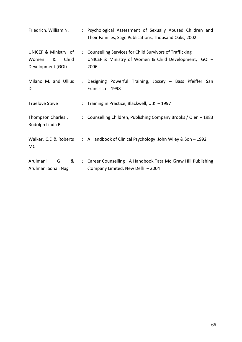| Friedrich, William N.                                            | ÷                     | Psychological Assessment of Sexually Abused Children and<br>Their Families, Sage Publications, Thousand Oaks, 2002       |
|------------------------------------------------------------------|-----------------------|--------------------------------------------------------------------------------------------------------------------------|
| UNICEF & Ministry of<br>&<br>Child<br>Women<br>Development (GOI) | $\mathbb{Z}^{\times}$ | Counselling Services for Child Survivors of Trafficking<br>UNICEF & Ministry of Women & Child Development, GOI -<br>2006 |
| Milano M. and Ullius<br>D.                                       | ÷                     | Designing Powerful Training, Jossey - Bass Pfeiffer San<br>Francisco - 1998                                              |
| <b>Truelove Steve</b>                                            | ÷                     | Training in Practice, Blackwell, U.K - 1997                                                                              |
| Thompson Charles L<br>Rudolph Linda B.                           | $\mathbf{L}$          | Counselling Children, Publishing Company Brooks / Olen - 1983                                                            |
| Walker, C.E & Roberts<br>MC                                      |                       | : A Handbook of Clinical Psychology, John Wiley & Son - 1992                                                             |
| Arulmani<br>&<br>G<br>Arulmani Sonali Nag                        |                       | : Career Counselling : A Handbook Tata Mc Graw Hill Publishing<br>Company Limited, New Delhi-2004                        |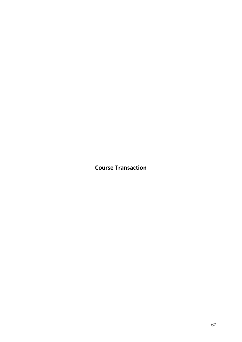**Course Transaction**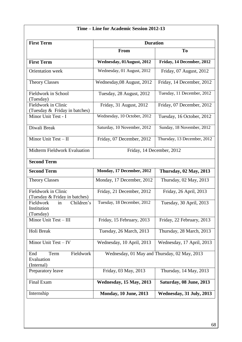| Time – Line for Academic Session 2012-13                  |                                              |                               |  |  |  |  |
|-----------------------------------------------------------|----------------------------------------------|-------------------------------|--|--|--|--|
| <b>First Term</b>                                         | <b>Duration</b>                              |                               |  |  |  |  |
|                                                           | From                                         | To                            |  |  |  |  |
| <b>First Term</b>                                         | Wednesday, 01August, 2012                    | Friday, 14 December, 2012     |  |  |  |  |
| Orientation week                                          | Wednesday, 01 August, 2012                   | Friday, 07 August, 2012       |  |  |  |  |
| <b>Theory Classes</b>                                     | Wednesday, 08 August, 2012                   | Friday, 14 December, 2012     |  |  |  |  |
| Fieldwork in School<br>(Tuesday)                          | Tuesday, 28 August, 2012                     | Tuesday, 11 December, 2012    |  |  |  |  |
| Fieldwork in Clinic<br>(Tuesday & Friday in batches)      | Friday, 31 August, 2012                      | Friday, 07 December, 2012     |  |  |  |  |
| Minor Unit Test - I                                       | Wednesday, 10 October, 2012                  | Tuesday, 16 October, 2012     |  |  |  |  |
| Diwali Break                                              | Saturday, 10 November, 2012                  | Sunday, 18 November, 2012     |  |  |  |  |
| Minor Unit Test - II                                      | Friday, 07 December, 2012                    | Thursday, 13 December, 2012   |  |  |  |  |
| <b>Midterm Fieldwork Evaluation</b>                       | Friday, 14 December, 2012                    |                               |  |  |  |  |
| <b>Second Term</b>                                        |                                              |                               |  |  |  |  |
| <b>Second Term</b>                                        | Monday, 17 December, 2012                    | <b>Thursday, 02 May, 2013</b> |  |  |  |  |
| <b>Theory Classes</b>                                     | Monday, 17 December, 2012                    | Thursday, 02 May, 2013        |  |  |  |  |
| Fieldwork in Clinic<br>(Tuesday & Friday in batches)      | Friday, 21 December, 2012                    | Friday, 26 April, 2013        |  |  |  |  |
| Fieldwork<br>Children's<br>in<br>Institution<br>(Tuesday) | Tuesday, 18 December, 2012                   | Tuesday, 30 April, 2013       |  |  |  |  |
| Minor Unit Test - III                                     | Friday, 15 February, 2013                    | Friday, 22 February, 2013     |  |  |  |  |
| Holi Break                                                | Tuesday, 26 March, 2013                      | Thursday, 28 March, 2013      |  |  |  |  |
| Minor Unit Test - IV                                      | Wednesday, 10 April, 2013                    | Wednesday, 17 April, 2013     |  |  |  |  |
| Fieldwork<br>Term<br>End<br>Evaluation<br>(Internal)      | Wednesday, 01 May and Thursday, 02 May, 2013 |                               |  |  |  |  |
| Preparatory leave                                         | Friday, 03 May, 2013                         | Thursday, 14 May, 2013        |  |  |  |  |
| Final Exam                                                | Wednesday, 15 May, 2013                      | Saturday, 08 June, 2013       |  |  |  |  |
| Internship                                                | <b>Monday, 10 June, 2013</b>                 | Wednesday, 31 July, 2013      |  |  |  |  |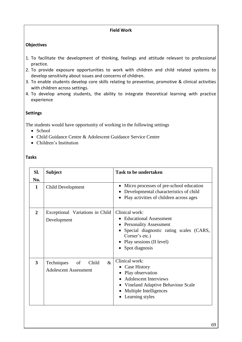### **Field Work**

### **Objectives**

- 1. To facilitate the development of thinking, feelings and attitude relevant to professional practice.
- 2. To provide exposure opportunities to work with children and child related systems to develop sensitivity about issues and concerns of children.
- 3. To enable students develop core skills relating to preventive, promotive & clinical activities with children across settings.
- 4. To develop among students, the ability to integrate theoretical learning with practice experience

### **Settings**

The students would have opportunity of working in the following settings

- School
- Child Guidance Centre & Adolescent Guidance Service Centre
- Children's Institution

### **Tasks**

| Sl.<br>No.     | <b>Subject</b>                                                    | <b>Task to be undertaken</b>                                                                                                                                                             |
|----------------|-------------------------------------------------------------------|------------------------------------------------------------------------------------------------------------------------------------------------------------------------------------------|
| $\mathbf{1}$   | Child Development                                                 | Micro processes of pre-school education<br>Developmental characteristics of child<br>Play activities of children across ages<br>$\bullet$                                                |
| $\overline{2}$ | Exceptional Variations in Child<br>Development                    | Clinical work:<br>Educational Assessment<br><b>Personality Assessment</b><br>• Special diagnostic rating scales (CARS,<br>Corner's etc.)<br>Play sessions (II level)<br>• Spot diagnosis |
| 3              | $\&$<br>Techniques<br>of<br>Child<br><b>Adolescent Assessment</b> | Clinical work:<br>• Case History<br>Play observation<br><b>Adolescent Interviews</b><br>Vineland Adaptive Behaviour Scale<br>Multiple Intelligences<br>Learning styles<br>$\bullet$      |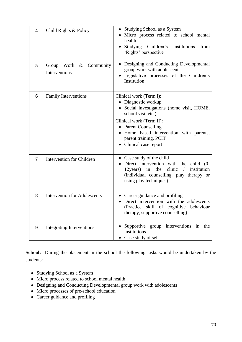| $\overline{\mathbf{4}}$ | Child Rights & Policy                   | Studying School as a System<br>Micro process related to school mental<br>health<br>Studying Children's<br>Institutions<br>from<br>'Rights' perspective                                                                                                           |
|-------------------------|-----------------------------------------|------------------------------------------------------------------------------------------------------------------------------------------------------------------------------------------------------------------------------------------------------------------|
| 5                       | Group Work & Community<br>Interventions | Designing and Conducting Developmental<br>group work with adolescents<br>Legislative processes of the Children's<br>Institution                                                                                                                                  |
| 6                       | <b>Family Interventions</b>             | Clinical work (Term I):<br>Diagnostic workup<br>Social investigations (home visit, HOME,<br>school visit etc.)<br>Clinical work (Term II):<br>• Parent Counselling<br>• Home based intervention with parents,<br>parent training, PCIT<br>• Clinical case report |
| 7                       | <b>Intervention for Children</b>        | • Case study of the child<br>Direct intervention with the child (0-<br>12 years) in the clinic $\ell$<br>institution<br>(individual counselling, play therapy or<br>using play techniques)                                                                       |
| 8                       | <b>Intervention for Adolescents</b>     | • Career guidance and profiling<br>Direct intervention with the adolescents<br>(Practice skill of cognitive behaviour<br>therapy, supportive counselling)                                                                                                        |
| 9                       | <b>Integrating Interventions</b>        | Supportive group interventions<br>in<br>the<br>institutions<br>Case study of self                                                                                                                                                                                |

**School:** During the placement in the school the following tasks would be undertaken by the students:-

- Studying School as a System
- Micro process related to school mental health
- Designing and Conducting Developmental group work with adolescents
- Micro processes of pre-school education
- Career guidance and profiling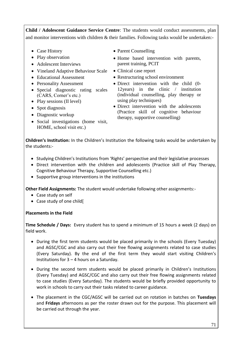**Child / Adolescent Guidance Service Centre**: The students would conduct assessments, plan and monitor interventions with children & their families. Following tasks would be undertaken:-

- Case History
- Play observation
- Adolescent Interviews
- Vineland Adaptive Behaviour Scale
- Educational Assessment
- Personality Assessment
- Special diagnostic rating scales (CARS, Corner"s etc.)
- Play sessions (II level)
- Spot diagnosis
- Diagnostic workup
- Social investigations (home visit, HOME, school visit etc.)
- Parent Counselling
- Home based intervention with parents, parent training, PCIT
- Clinical case report
- Restructuring school environment
- Direct intervention with the child (0-12years) in the clinic / institution (individual counselling, play therapy or using play techniques)
- Direct intervention with the adolescents (Practice skill of cognitive behaviour therapy, supportive counselling)

**Children's Institution:** In the Children's Institution the following tasks would be undertaken by the students:-

- Studying Children's Institutions from 'Rights' perspective and their legislative processes
- Direct intervention with the children and adolescents (Practice skill of Play Therapy, Cognitive Behaviour Therapy, Supportive Counselling etc.)
- Supportive group interventions in the institutions

**Other Field Assignments:** The student would undertake following other assignments:-

- Case study on self
- Case study of one child[

**Placements in the Field** 

**Time Schedule / Days:** Every student has to spend a minimum of 15 hours a week (2 days) on field work.

- During the first term students would be placed primarily in the schools (Every Tuesday) and AGSC/CGC and also carry out their free flowing assignments related to case studies (Every Saturday). By the end of the first term they would start visiting Children's Institutions for 3 – 4 hours on a Saturday.
- During the second term students would be placed primarily in Children's Institutions (Every Tuesday) and AGSC/CGC and also carry out their free flowing assignments related to case studies (Every Saturday). The students would be briefly provided opportunity to work in schools to carry out their tasks related to career guidance.
- The placement in the CGC/AGSC will be carried out on rotation in batches on **Tuesdays** and **Fridays** afternoons as per the roster drawn out for the purpose. This placement will be carried out through the year.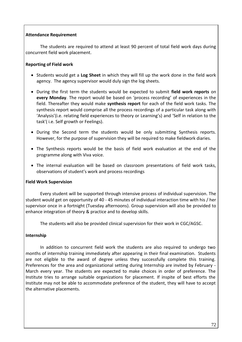### **Attendance Requirement**

The students are required to attend at least 90 percent of total field work days during concurrent field work placement.

### **Reporting of Field work**

- Students would get a **Log Sheet** in which they will fill up the work done in the field work agency. The agency supervisor would duly sign the log sheets.
- During the first term the students would be expected to submit **field work reports** on **every Monday**. The report would be based on 'process recording' of experiences in the field. Thereafter they would make **synthesis report** for each of the field work tasks. The synthesis report would comprise all the process recordings of a particular task along with 'Analysis'(i.e. relating field experiences to theory or Learning's) and 'Self in relation to the task'( i.e. Self growth or Feelings).
- During the Second term the students would be only submitting Synthesis reports. However, for the purpose of supervision they will be required to make fieldwork diaries.
- The Synthesis reports would be the basis of field work evaluation at the end of the programme along with Viva voice.
- The internal evaluation will be based on classroom presentations of field work tasks, observations of student's work and process recordings

### **Field Work Supervision**

Every student will be supported through intensive process of individual supervision. The student would get on opportunity of 40 - 45 minutes of individual interaction time with his / her supervisor once in a fortnight (Tuesday afternoons). Group supervision will also be provided to enhance integration of theory & practice and to develop skills.

The students will also be provided clinical supervision for their work in CGC/AGSC.

### **Internship**

In addition to concurrent field work the students are also required to undergo two months of internship training immediately after appearing in their final examination. Students are not eligible to the award of degree unless they successfully complete this training. Preferences for the area and organizational setting during Internship are invited by February - March every year. The students are expected to make choices in order of preference. The Institute tries to arrange suitable organizations for placement. If inspite of best efforts the Institute may not be able to accommodate preference of the student, they will have to accept the alternative placements.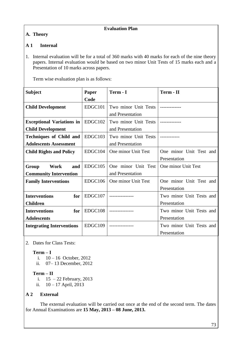### **Evaluation Plan**

# **A. Theory**

### **A 1 Internal**

1. Internal evaluation will be for a total of 360 marks with 40 marks for each of the nine theory papers. Internal evaluation would be based on two minor Unit Tests of 15 marks each and a Presentation of 10 marks across papers.

Term wise evaluation plan is as follows:

| <b>Subject</b>                                                  | Paper   | Term - I                                 | Term - II                                |
|-----------------------------------------------------------------|---------|------------------------------------------|------------------------------------------|
|                                                                 | Code    |                                          |                                          |
| <b>Child Development</b>                                        | EDGC101 | Two minor Unit Tests<br>and Presentation |                                          |
| <b>Exceptional Variations in</b><br><b>Child Development</b>    | EDGC102 | Two minor Unit Tests<br>and Presentation |                                          |
| <b>Techniques of Child and</b><br><b>Adolescents Assessment</b> | EDGC103 | Two minor Unit Tests<br>and Presentation |                                          |
| <b>Child Rights and Policy</b>                                  | EDGC104 | One minor Unit Test                      | One minor Unit Test and<br>Presentation  |
| Work<br>Group<br>and<br><b>Community Intervention</b>           | EDGC105 | One minor Unit Test<br>and Presentation  | One minor Unit Test                      |
| <b>Family Interventions</b>                                     | EDGC106 | One minor Unit Test                      | One minor Unit Test and<br>Presentation  |
| <b>Interventions</b><br>for<br><b>Children</b>                  | EDGC107 |                                          | Two minor Unit Tests and<br>Presentation |
| <b>Interventions</b><br>for<br><b>Adolescents</b>               | EDGC108 |                                          | Two minor Unit Tests and<br>Presentation |
| <b>Integrating Interventions</b>                                | EDGC109 |                                          | Two minor Unit Tests and<br>Presentation |

2. Dates for Class Tests:

**Term – I** 

- i.  $10 16$  October, 2012
- ii. 07– 13 December, 2012

### **Term – II**

i.  $15 - 22$  February, 2013

ii. 10 – 17 April, 2013

# **A 2 External**

The external evaluation will be carried out once at the end of the second term. The dates for Annual Examinations are **15 May, 2013 – 08 June, 2013.**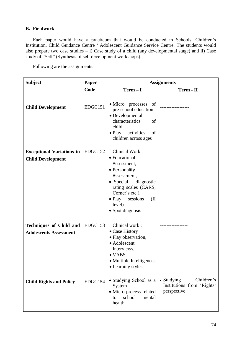### **B. Fieldwork**

Each paper would have a practicum that would be conducted in Schools, Children"s Institution, Child Guidance Centre / Adolescent Guidance Service Centre. The students would also prepare two case studies – i) Case study of a child (any developmental stage) and ii) Case study of "Self" (Synthesis of self development workshops).

Following are the assignments:

| <b>Subject</b>                                                  | Paper   | <b>Assignments</b>                                                                                                                                                                                                              |                                                                       |
|-----------------------------------------------------------------|---------|---------------------------------------------------------------------------------------------------------------------------------------------------------------------------------------------------------------------------------|-----------------------------------------------------------------------|
|                                                                 | Code    | $Term - I$                                                                                                                                                                                                                      | Term - II                                                             |
| <b>Child Development</b>                                        | EDGC151 | • Micro processes of<br>pre-school education<br>• Developmental<br>characteristics<br>of<br>child<br>$\bullet$ Play<br>activities<br>of<br>children across ages                                                                 |                                                                       |
| <b>Exceptional Variations in</b><br><b>Child Development</b>    | EDGC152 | <b>Clinical Work:</b><br>• Educational<br>Assessment,<br>• Personality<br>Assessment,<br>• Special<br>diagnostic<br>rating scales (CARS,<br>Corner's etc.),<br>$\bullet$ Play<br>sessions<br>(II)<br>level)<br>• Spot diagnosis |                                                                       |
| <b>Techniques of Child and</b><br><b>Adolescents Assessment</b> | EDGC153 | Clinical work:<br>• Case History<br>· Play observation,<br>• Adolescent<br>Interviews,<br>$\bullet$ VABS<br>• Multiple Intelligences<br>• Learning styles                                                                       |                                                                       |
| <b>Child Rights and Policy</b>                                  | EDGC154 | • Studying School as a<br>System<br>· Micro process related<br>school<br>mental<br>to<br>health                                                                                                                                 | Children's<br>• Studying<br>Institutions from 'Rights'<br>perspective |